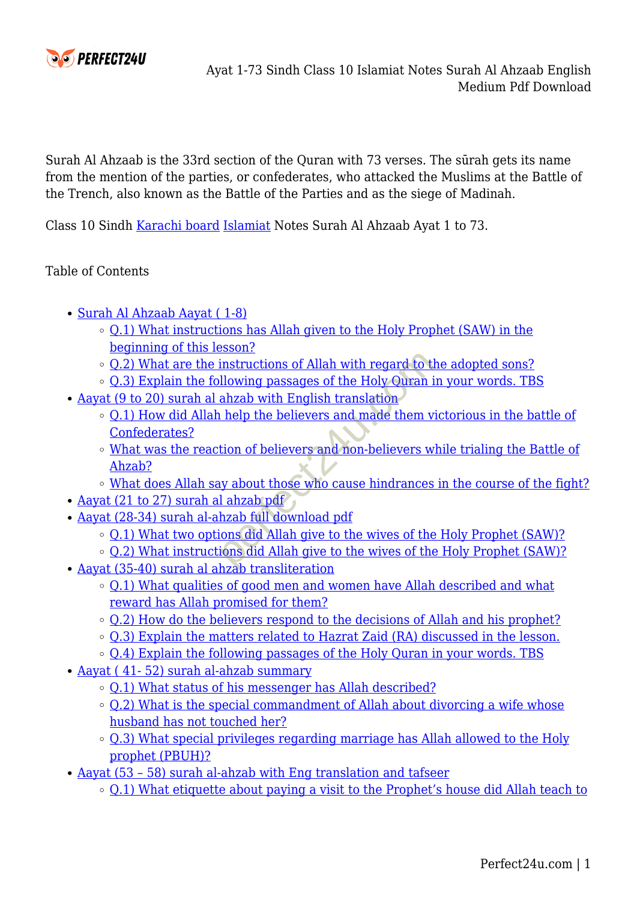

Surah Al Ahzaab is the 33rd section of the Quran with 73 verses. The sūrah gets its name from the mention of the parties, or confederates, who attacked the Muslims at the Battle of the Trench, also known as the Battle of the Parties and as the siege of Madinah.

Class 10 Sindh [Karachi board](https://www.perfect24u.com/) [Islamiat](https://www.perfect24u.com/grade-4-kpk-textbook-pdf-download/) Notes Surah Al Ahzaab Ayat 1 to 73.

#### Table of Contents

- [Surah Al Ahzaab Aayat \( 1-8\)](#page--1-0)
	- o [Q.1\) What instructions has Allah given to the Holy Prophet \(SAW\) in the](#page--1-0) [beginning of this lesson?](#page--1-0)
	- [Q.2\) What are the instructions of Allah with regard to the adopted sons?](#page--1-0)
	- $\circ$  0.3) Explain the following passages of the Holy Ouran in your words. TBS
- [Aayat \(9 to 20\) surah al ahzab with English translation](#page--1-0)
	- $\circ$  0.1) How did Allah help the believers and made them victorious in the battle of [Confederates?](#page--1-0)
- [What was the reaction of believers and non-believers while trialing the Battle of](#page--1-0) [Ahzab?](#page--1-0) instructions of Allah with regard to the<br>illowing passages of the Holy Quran i<br>ahzab with English translation<br>in help the believers and made them v<br>tion of believers and non-believers w<br>iy about those who cause hindrances<br>
	- o [What does Allah say about those who cause hindrances in the course of the fight?](#page--1-0)
- [Aayat \(21 to 27\) surah al ahzab pdf](#page--1-0)
- [Aayat \(28-34\) surah al-ahzab full download pdf](#page--1-0)
	- o [Q.1\) What two options did Allah give to the wives of the Holy Prophet \(SAW\)?](#page--1-0)
	- o [Q.2\) What instructions did Allah give to the wives of the Holy Prophet \(SAW\)?](#page--1-0)
- [Aayat \(35-40\) surah al ahzab transliteration](#page--1-0)
	- o 0.1) What qualities of good men and women have Allah described and what [reward has Allah promised for them?](#page--1-0)
	- $\circ$  [Q.2\) How do the believers respond to the decisions of Allah and his prophet?](#page--1-0)
	- o [Q.3\) Explain the matters related to Hazrat Zaid \(RA\) discussed in the lesson.](#page--1-0)
	- $\circ$  [Q.4\) Explain the following passages of the Holy Quran in your words. TBS](#page--1-0)
- [Aayat \( 41- 52\) surah al-ahzab summary](#page--1-0)
	- o [Q.1\) What status of his messenger has Allah described?](#page--1-0)
	- $\circ$  0.2) What is the special commandment of Allah about divorcing a wife whose [husband has not touched her?](#page--1-0)
	- [Q.3\) What special privileges regarding marriage has Allah allowed to the Holy](#page--1-0) [prophet \(PBUH\)?](#page--1-0)
- Aayat (53 58) surah al-ahzab with Eng translation and tafseer
	- [Q.1\) What etiquette about paying a visit to the Prophet's house did Allah teach to](#page--1-0)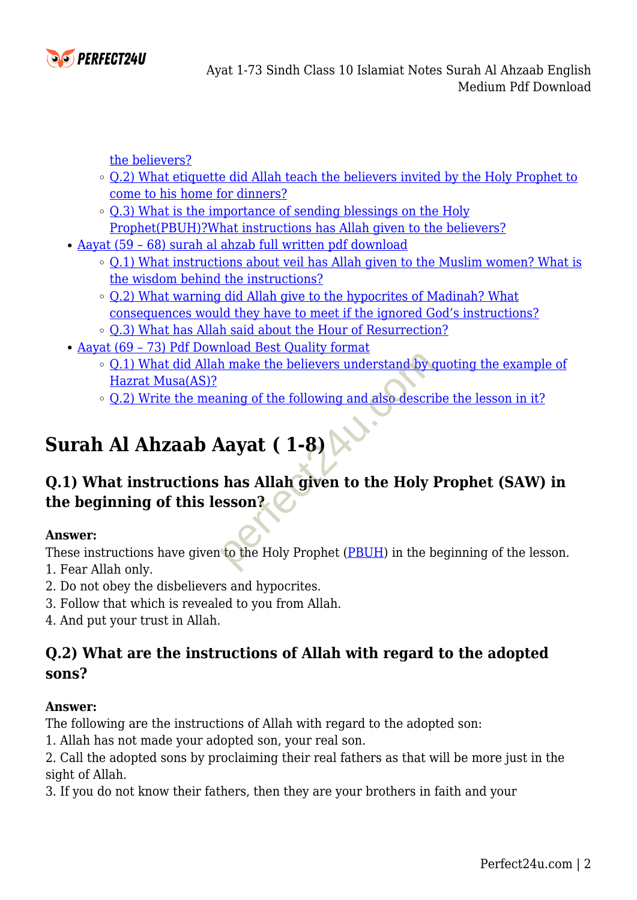

[the believers?](#page--1-0)

- $\circ$  0.2) What etiquette did Allah teach the believers invited by the Holy Prophet to [come to his home for dinners?](#page--1-0)
- [Q.3\) What is the importance of sending blessings on the Holy](#page--1-0) [Prophet\(PBUH\)?What instructions has Allah given to the believers?](#page--1-0)
- [Aayat \(59 68\) surah al ahzab full written pdf download](#page--1-0)
	- o [Q.1\) What instructions about veil has Allah given to the Muslim women? What is](#page--1-0) [the wisdom behind the instructions?](#page--1-0)
	- $\circ$  [Q.2\) What warning did Allah give to the hypocrites of Madinah? What](#page--1-0) [consequences would they have to meet if the ignored God's instructions?](#page--1-0)
	- $\circ$  [Q.3\) What has Allah said about the Hour of Resurrection?](#page--1-0)
- [Aayat \(69 73\) Pdf Download Best Quality format](#page--1-0)
	- o [Q.1\) What did Allah make the believers understand by quoting the example of](#page--1-0) [Hazrat Musa\(AS\)?](#page--1-0)
	- [Q.2\) Write the meaning of the following and also describe the lesson in it?](#page--1-0)

# **Surah Al Ahzaab Aayat ( 1-8)**

# **Q.1) What instructions has Allah given to the Holy Prophet (SAW) in the beginning of this lesson?** make the believers understand by order of the following and also descriptions of the following and also descriptions of the following and also descriptions of the Holy is some  $\binom{2}{k}$ .

#### **Answer:**

These instructions have given to the Holy Prophet (PBUH) in the beginning of the lesson.

- 1. Fear Allah only.
- 2. Do not obey the disbelievers and hypocrites.
- 3. Follow that which is revealed to you from Allah.
- 4. And put your trust in Allah.

# **Q.2) What are the instructions of Allah with regard to the adopted sons?**

#### **Answer:**

The following are the instructions of Allah with regard to the adopted son:

1. Allah has not made your adopted son, your real son.

2. Call the adopted sons by proclaiming their real fathers as that will be more just in the sight of Allah.

3. If you do not know their fathers, then they are your brothers in faith and your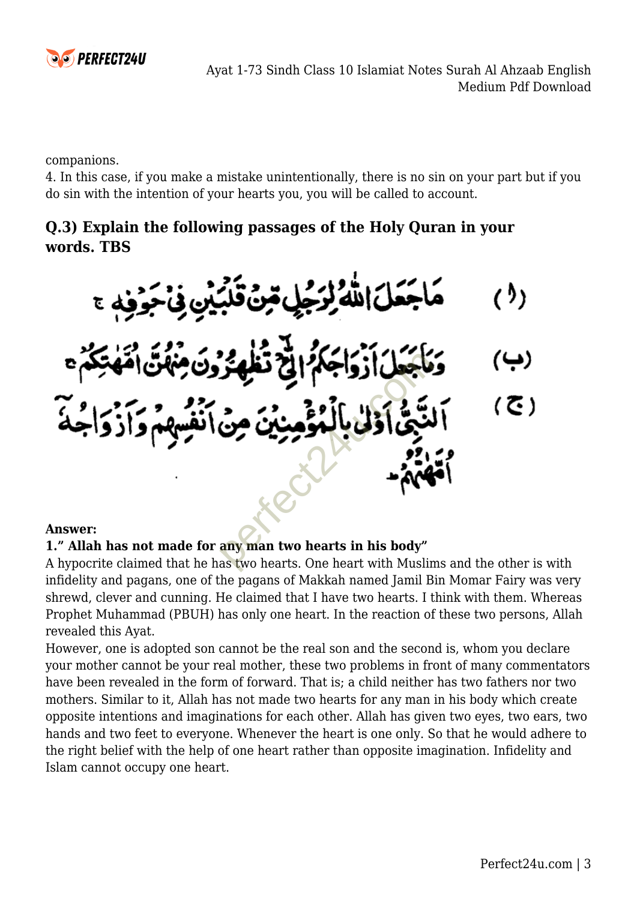

companions.

4. In this case, if you make a mistake unintentionally, there is no sin on your part but if you do sin with the intention of your hearts you, you will be called to account.

# **Q.3) Explain the following passages of the Holy Quran in your words. TBS**



#### **Answer:**

#### **1." Allah has not made for any man two hearts in his body"**

A hypocrite claimed that he has two hearts. One heart with Muslims and the other is with infidelity and pagans, one of the pagans of Makkah named Jamil Bin Momar Fairy was very shrewd, clever and cunning. He claimed that I have two hearts. I think with them. Whereas Prophet Muhammad (PBUH) has only one heart. In the reaction of these two persons, Allah revealed this Ayat.

However, one is adopted son cannot be the real son and the second is, whom you declare your mother cannot be your real mother, these two problems in front of many commentators have been revealed in the form of forward. That is; a child neither has two fathers nor two mothers. Similar to it, Allah has not made two hearts for any man in his body which create opposite intentions and imaginations for each other. Allah has given two eyes, two ears, two hands and two feet to everyone. Whenever the heart is one only. So that he would adhere to the right belief with the help of one heart rather than opposite imagination. Infidelity and Islam cannot occupy one heart.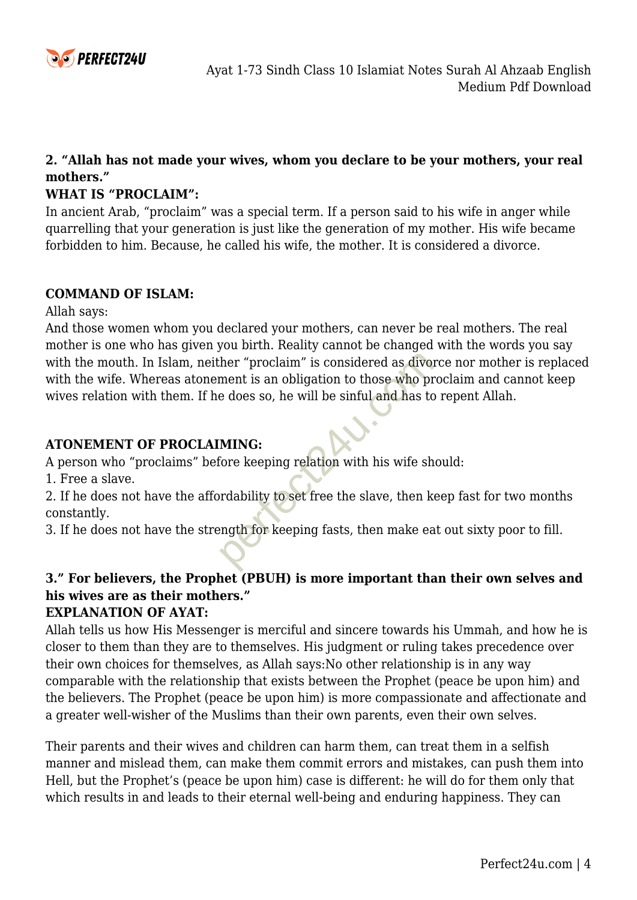

#### **2. "Allah has not made your wives, whom you declare to be your mothers, your real mothers."**

#### **WHAT IS "PROCLAIM":**

In ancient Arab, "proclaim" was a special term. If a person said to his wife in anger while quarrelling that your generation is just like the generation of my mother. His wife became forbidden to him. Because, he called his wife, the mother. It is considered a divorce.

#### **COMMAND OF ISLAM:**

Allah says:

And those women whom you declared your mothers, can never be real mothers. The real mother is one who has given you birth. Reality cannot be changed with the words you say with the mouth. In Islam, neither "proclaim" is considered as divorce nor mother is replaced with the wife. Whereas atonement is an obligation to those who proclaim and cannot keep wives relation with them. If he does so, he will be sinful and has to repent Allah. The "proclaim" is considered as divertient is an obligation to those who produce the single does so, he will be singled and has to the singled and has to the seeping relation with his wife show relation with his wife show

#### **ATONEMENT OF PROCLAIMING:**

A person who "proclaims" before keeping relation with his wife should:

1. Free a slave.

2. If he does not have the affordability to set free the slave, then keep fast for two months constantly.

3. If he does not have the strength for keeping fasts, then make eat out sixty poor to fill.

# **3." For believers, the Prophet (PBUH) is more important than their own selves and his wives are as their mothers."**

#### **EXPLANATION OF AYAT:**

Allah tells us how His Messenger is merciful and sincere towards his Ummah, and how he is closer to them than they are to themselves. His judgment or ruling takes precedence over their own choices for themselves, as Allah says:No other relationship is in any way comparable with the relationship that exists between the Prophet (peace be upon him) and the believers. The Prophet (peace be upon him) is more compassionate and affectionate and a greater well-wisher of the Muslims than their own parents, even their own selves.

Their parents and their wives and children can harm them, can treat them in a selfish manner and mislead them, can make them commit errors and mistakes, can push them into Hell, but the Prophet's (peace be upon him) case is different: he will do for them only that which results in and leads to their eternal well-being and enduring happiness. They can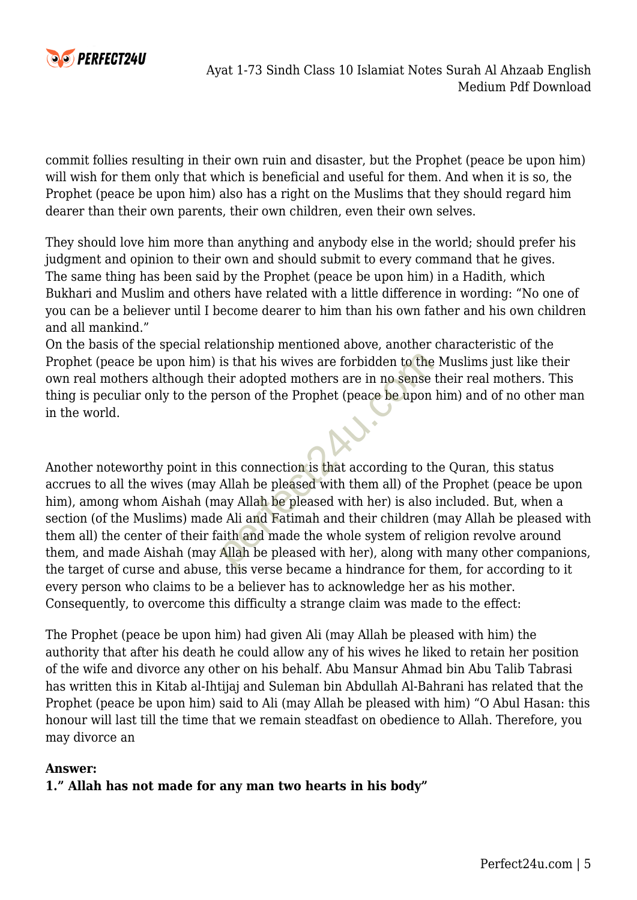

commit follies resulting in their own ruin and disaster, but the Prophet (peace be upon him) will wish for them only that which is beneficial and useful for them. And when it is so, the Prophet (peace be upon him) also has a right on the Muslims that they should regard him dearer than their own parents, their own children, even their own selves.

They should love him more than anything and anybody else in the world; should prefer his judgment and opinion to their own and should submit to every command that he gives. The same thing has been said by the Prophet (peace be upon him) in a Hadith, which Bukhari and Muslim and others have related with a little difference in wording: "No one of you can be a believer until I become dearer to him than his own father and his own children and all mankind."

On the basis of the special relationship mentioned above, another characteristic of the Prophet (peace be upon him) is that his wives are forbidden to the Muslims just like their own real mothers although their adopted mothers are in no sense their real mothers. This thing is peculiar only to the person of the Prophet (peace be upon him) and of no other man in the world.

Another noteworthy point in this connection is that according to the Quran, this status accrues to all the wives (may Allah be pleased with them all) of the Prophet (peace be upon him), among whom Aishah (may Allah be pleased with her) is also included. But, when a section (of the Muslims) made Ali and Fatimah and their children (may Allah be pleased with them all) the center of their faith and made the whole system of religion revolve around them, and made Aishah (may Allah be pleased with her), along with many other companions, the target of curse and abuse, this verse became a hindrance for them, for according to it every person who claims to be a believer has to acknowledge her as his mother. Consequently, to overcome this difficulty a strange claim was made to the effect: is that his wives are forbidden to the<br>eir adopted mothers are in no sense<br>erson of the Prophet (peace be upon<br>this connection is that according to th<br>Allah be pleased with them all) of the<br>ay Allah be pleased with her) is

The Prophet (peace be upon him) had given Ali (may Allah be pleased with him) the authority that after his death he could allow any of his wives he liked to retain her position of the wife and divorce any other on his behalf. Abu Mansur Ahmad bin Abu Talib Tabrasi has written this in Kitab al-Ihtijaj and Suleman bin Abdullah Al-Bahrani has related that the Prophet (peace be upon him) said to Ali (may Allah be pleased with him) "O Abul Hasan: this honour will last till the time that we remain steadfast on obedience to Allah. Therefore, you may divorce an

#### **Answer:**

#### **1." Allah has not made for any man two hearts in his body"**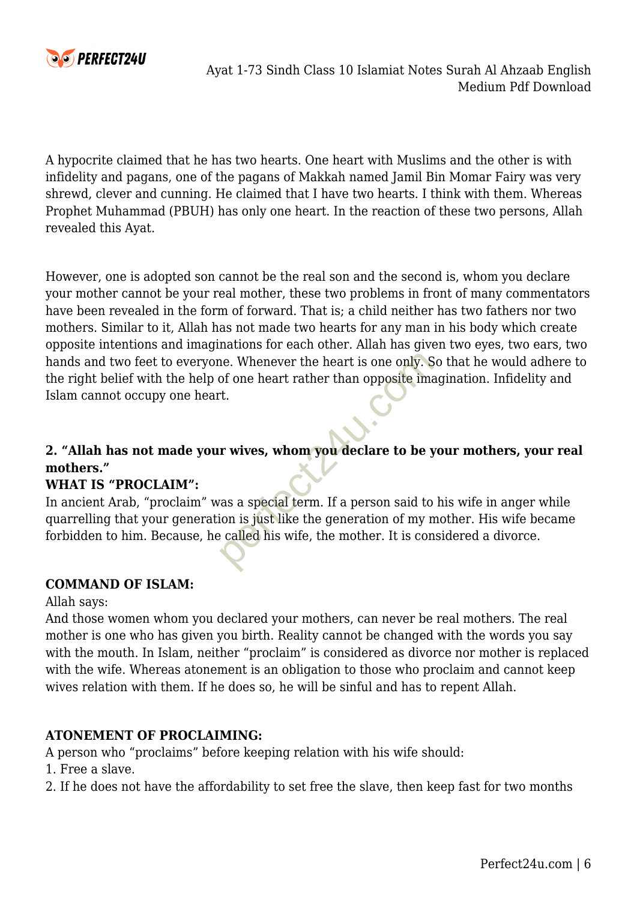

A hypocrite claimed that he has two hearts. One heart with Muslims and the other is with infidelity and pagans, one of the pagans of Makkah named Jamil Bin Momar Fairy was very shrewd, clever and cunning. He claimed that I have two hearts. I think with them. Whereas Prophet Muhammad (PBUH) has only one heart. In the reaction of these two persons, Allah revealed this Ayat.

However, one is adopted son cannot be the real son and the second is, whom you declare your mother cannot be your real mother, these two problems in front of many commentators have been revealed in the form of forward. That is; a child neither has two fathers nor two mothers. Similar to it, Allah has not made two hearts for any man in his body which create opposite intentions and imaginations for each other. Allah has given two eyes, two ears, two hands and two feet to everyone. Whenever the heart is one only. So that he would adhere to the right belief with the help of one heart rather than opposite imagination. Infidelity and Islam cannot occupy one heart. The University of one heart rather than opposite imate.<br>
The beat rather than opposite imate of the set of the set of the set of the set of the set of the set of the set of the set of the called his wife, the mother. It is

#### **2. "Allah has not made your wives, whom you declare to be your mothers, your real mothers."**

#### **WHAT IS "PROCLAIM":**

In ancient Arab, "proclaim" was a special term. If a person said to his wife in anger while quarrelling that your generation is just like the generation of my mother. His wife became forbidden to him. Because, he called his wife, the mother. It is considered a divorce.

#### **COMMAND OF ISLAM:**

#### Allah says:

And those women whom you declared your mothers, can never be real mothers. The real mother is one who has given you birth. Reality cannot be changed with the words you say with the mouth. In Islam, neither "proclaim" is considered as divorce nor mother is replaced with the wife. Whereas atonement is an obligation to those who proclaim and cannot keep wives relation with them. If he does so, he will be sinful and has to repent Allah.

#### **ATONEMENT OF PROCLAIMING:**

A person who "proclaims" before keeping relation with his wife should:

- 1. Free a slave.
- 2. If he does not have the affordability to set free the slave, then keep fast for two months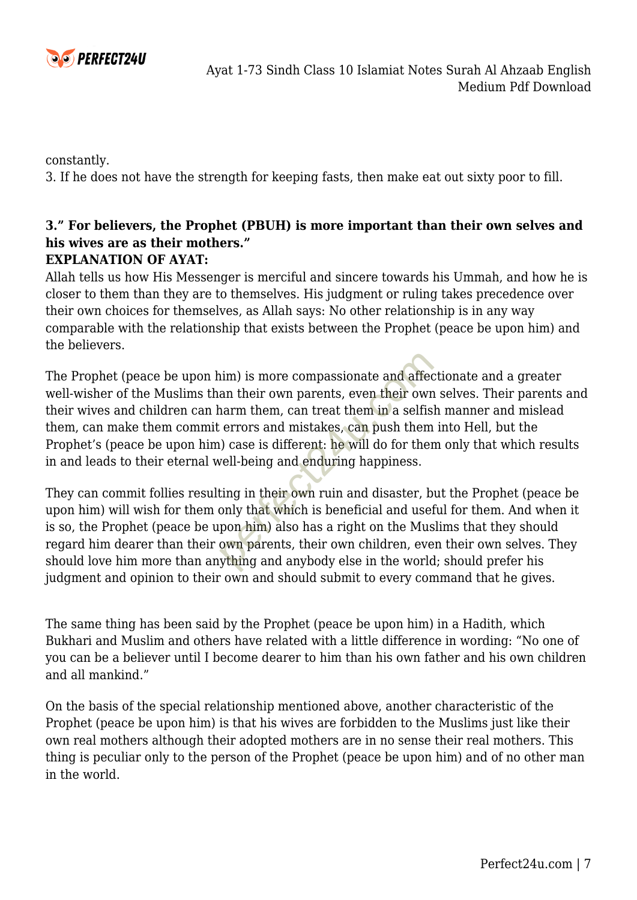

constantly.

3. If he does not have the strength for keeping fasts, then make eat out sixty poor to fill.

### **3." For believers, the Prophet (PBUH) is more important than their own selves and his wives are as their mothers."**

#### **EXPLANATION OF AYAT:**

Allah tells us how His Messenger is merciful and sincere towards his Ummah, and how he is closer to them than they are to themselves. His judgment or ruling takes precedence over their own choices for themselves, as Allah says: No other relationship is in any way comparable with the relationship that exists between the Prophet (peace be upon him) and the believers.

The Prophet (peace be upon him) is more compassionate and affectionate and a greater well-wisher of the Muslims than their own parents, even their own selves. Their parents and their wives and children can harm them, can treat them in a selfish manner and mislead them, can make them commit errors and mistakes, can push them into Hell, but the Prophet's (peace be upon him) case is different: he will do for them only that which results in and leads to their eternal well-being and enduring happiness. nim) is more compassionate and affect<br>an their own parents, even their own<br>narm them, can treat them in a selfis<br>errors and mistakes, can push them<br>ol) case is different: he will do for then<br>well-being and enduring happine

They can commit follies resulting in their own ruin and disaster, but the Prophet (peace be upon him) will wish for them only that which is beneficial and useful for them. And when it is so, the Prophet (peace be upon him) also has a right on the Muslims that they should regard him dearer than their own parents, their own children, even their own selves. They should love him more than anything and anybody else in the world; should prefer his judgment and opinion to their own and should submit to every command that he gives.

The same thing has been said by the Prophet (peace be upon him) in a Hadith, which Bukhari and Muslim and others have related with a little difference in wording: "No one of you can be a believer until I become dearer to him than his own father and his own children and all mankind."

On the basis of the special relationship mentioned above, another characteristic of the Prophet (peace be upon him) is that his wives are forbidden to the Muslims just like their own real mothers although their adopted mothers are in no sense their real mothers. This thing is peculiar only to the person of the Prophet (peace be upon him) and of no other man in the world.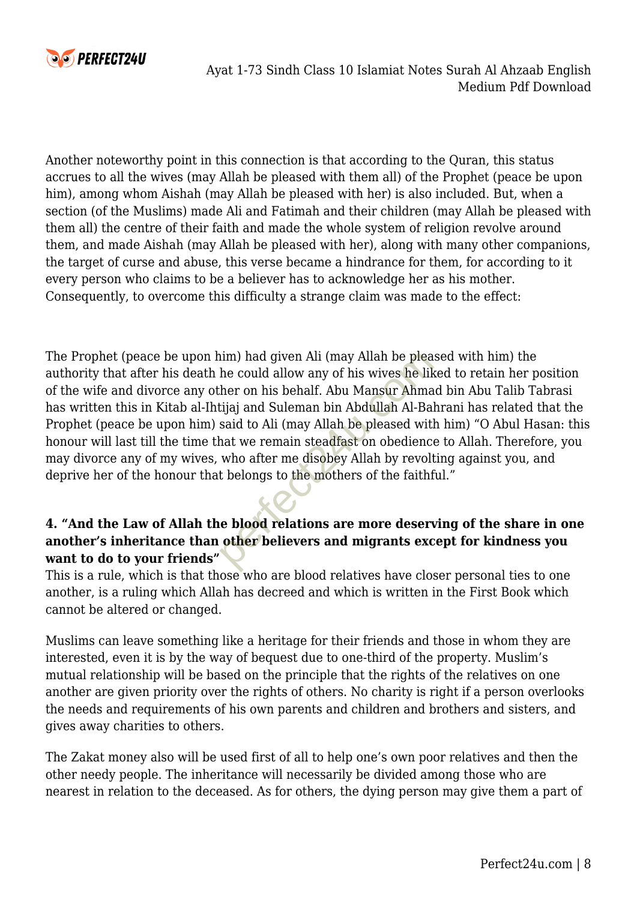

Another noteworthy point in this connection is that according to the Quran, this status accrues to all the wives (may Allah be pleased with them all) of the Prophet (peace be upon him), among whom Aishah (may Allah be pleased with her) is also included. But, when a section (of the Muslims) made Ali and Fatimah and their children (may Allah be pleased with them all) the centre of their faith and made the whole system of religion revolve around them, and made Aishah (may Allah be pleased with her), along with many other companions, the target of curse and abuse, this verse became a hindrance for them, for according to it every person who claims to be a believer has to acknowledge her as his mother. Consequently, to overcome this difficulty a strange claim was made to the effect:

The Prophet (peace be upon him) had given Ali (may Allah be pleased with him) the authority that after his death he could allow any of his wives he liked to retain her position of the wife and divorce any other on his behalf. Abu Mansur Ahmad bin Abu Talib Tabrasi has written this in Kitab al-Ihtijaj and Suleman bin Abdullah Al-Bahrani has related that the Prophet (peace be upon him) said to Ali (may Allah be pleased with him) "O Abul Hasan: this honour will last till the time that we remain steadfast on obedience to Allah. Therefore, you may divorce any of my wives, who after me disobey Allah by revolting against you, and deprive her of the honour that belongs to the mothers of the faithful." nim) had given Ali (may Allah be plea<br>he could allow any of his wives he like<br>ther on his behalf. Abu Mansur Ahma<br>tijaj and Suleman bin Abdullah Al-Ba<br>said to Ali (may Allah be pleased with<br>hat we remain steadfast on obedi

#### **4. "And the Law of Allah the blood relations are more deserving of the share in one another's inheritance than other believers and migrants except for kindness you want to do to your friends"**

This is a rule, which is that those who are blood relatives have closer personal ties to one another, is a ruling which Allah has decreed and which is written in the First Book which cannot be altered or changed.

Muslims can leave something like a heritage for their friends and those in whom they are interested, even it is by the way of bequest due to one-third of the property. Muslim's mutual relationship will be based on the principle that the rights of the relatives on one another are given priority over the rights of others. No charity is right if a person overlooks the needs and requirements of his own parents and children and brothers and sisters, and gives away charities to others.

The Zakat money also will be used first of all to help one's own poor relatives and then the other needy people. The inheritance will necessarily be divided among those who are nearest in relation to the deceased. As for others, the dying person may give them a part of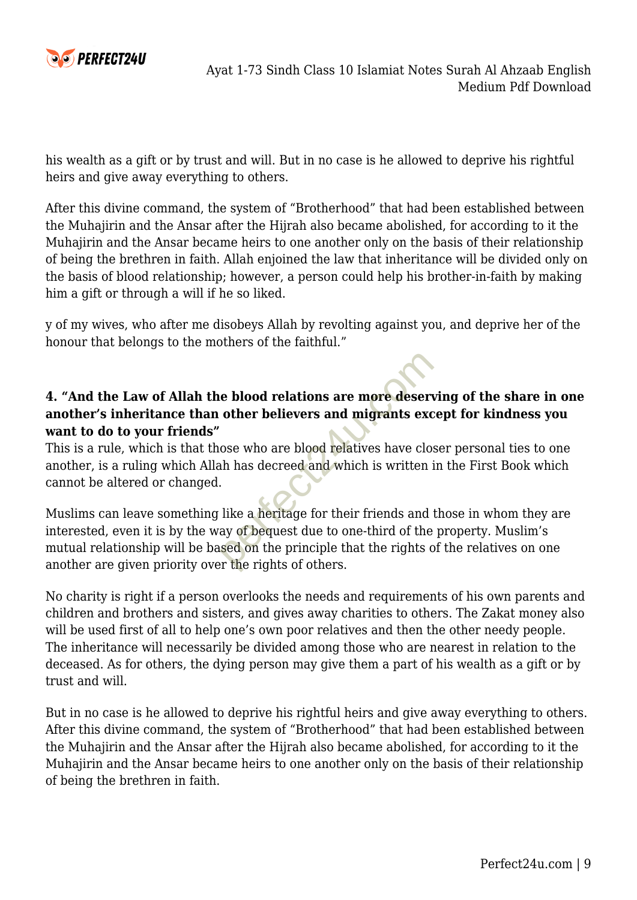

his wealth as a gift or by trust and will. But in no case is he allowed to deprive his rightful heirs and give away everything to others.

After this divine command, the system of "Brotherhood" that had been established between the Muhajirin and the Ansar after the Hijrah also became abolished, for according to it the Muhajirin and the Ansar became heirs to one another only on the basis of their relationship of being the brethren in faith. Allah enjoined the law that inheritance will be divided only on the basis of blood relationship; however, a person could help his brother-in-faith by making him a gift or through a will if he so liked.

y of my wives, who after me disobeys Allah by revolting against you, and deprive her of the honour that belongs to the mothers of the faithful."

#### **4. "And the Law of Allah the blood relations are more deserving of the share in one another's inheritance than other believers and migrants except for kindness you want to do to your friends"**

This is a rule, which is that those who are blood relatives have closer personal ties to one another, is a ruling which Allah has decreed and which is written in the First Book which cannot be altered or changed.

Muslims can leave something like a heritage for their friends and those in whom they are interested, even it is by the way of bequest due to one-third of the property. Muslim's mutual relationship will be based on the principle that the rights of the relatives on one another are given priority over the rights of others. e blood relations are more deservather believers and migrants excessions who are blood relatives have close who are blood relatives have close who are blood relatives have close who has decreed and which is written in the

No charity is right if a person overlooks the needs and requirements of his own parents and children and brothers and sisters, and gives away charities to others. The Zakat money also will be used first of all to help one's own poor relatives and then the other needy people. The inheritance will necessarily be divided among those who are nearest in relation to the deceased. As for others, the dying person may give them a part of his wealth as a gift or by trust and will.

But in no case is he allowed to deprive his rightful heirs and give away everything to others. After this divine command, the system of "Brotherhood" that had been established between the Muhajirin and the Ansar after the Hijrah also became abolished, for according to it the Muhajirin and the Ansar became heirs to one another only on the basis of their relationship of being the brethren in faith.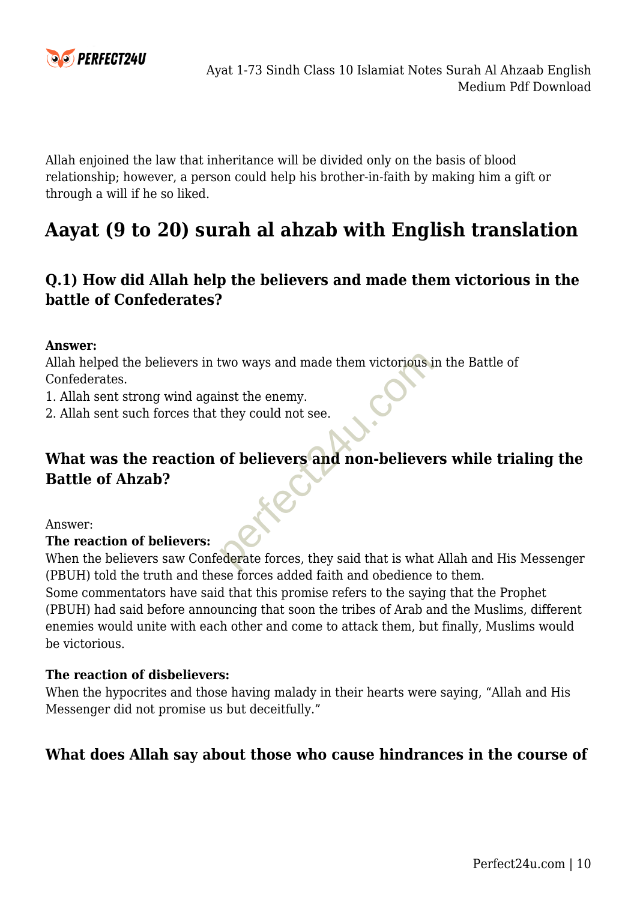

Allah enjoined the law that inheritance will be divided only on the basis of blood relationship; however, a person could help his brother-in-faith by making him a gift or through a will if he so liked.

# **Aayat (9 to 20) surah al ahzab with English translation**

# **Q.1) How did Allah help the believers and made them victorious in the battle of Confederates?**

#### **Answer:**

Allah helped the believers in two ways and made them victorious in the Battle of Confederates.

- 1. Allah sent strong wind against the enemy.
- 2. Allah sent such forces that they could not see.

# **What was the reaction of believers and non-believers while trialing the Battle of Ahzab?** two ways and made them victorious is<br>inst the enemy.<br>they could not see.<br>of believers and non-believe:<br>ederate forces, they said that is what

Answer:

#### **The reaction of believers:**

When the believers saw Confederate forces, they said that is what Allah and His Messenger (PBUH) told the truth and these forces added faith and obedience to them.

Some commentators have said that this promise refers to the saying that the Prophet (PBUH) had said before announcing that soon the tribes of Arab and the Muslims, different enemies would unite with each other and come to attack them, but finally, Muslims would be victorious.

#### **The reaction of disbelievers:**

When the hypocrites and those having malady in their hearts were saying, "Allah and His Messenger did not promise us but deceitfully."

#### **What does Allah say about those who cause hindrances in the course of**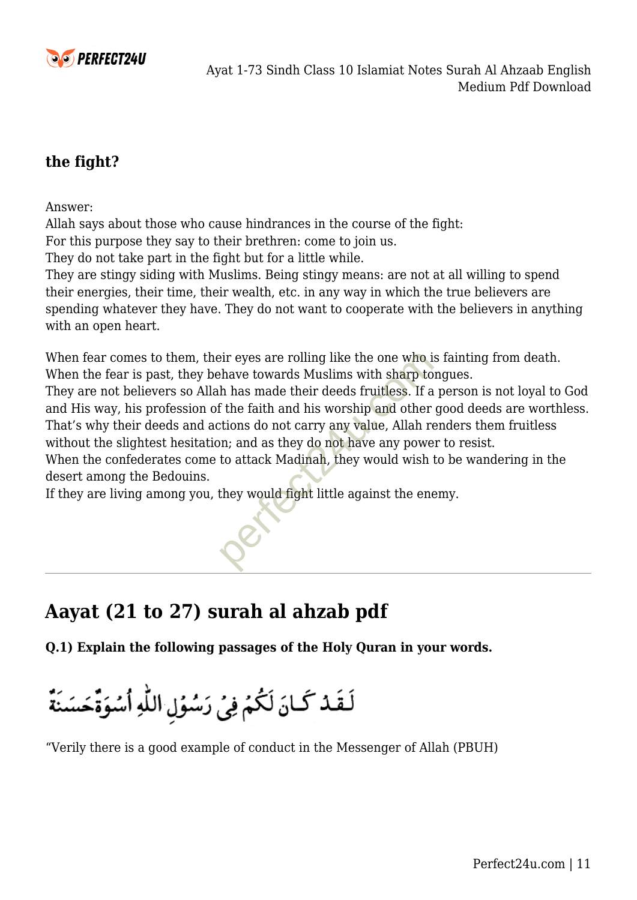

### **the fight?**

Answer:

Allah says about those who cause hindrances in the course of the fight:

For this purpose they say to their brethren: come to join us.

They do not take part in the fight but for a little while.

They are stingy siding with Muslims. Being stingy means: are not at all willing to spend their energies, their time, their wealth, etc. in any way in which the true believers are spending whatever they have. They do not want to cooperate with the believers in anything with an open heart.

When fear comes to them, their eyes are rolling like the one who is fainting from death. When the fear is past, they behave towards Muslims with sharp tongues.

They are not believers so Allah has made their deeds fruitless. If a person is not loyal to God and His way, his profession of the faith and his worship and other good deeds are worthless. That's why their deeds and actions do not carry any value, Allah renders them fruitless without the slightest hesitation; and as they do not have any power to resist. eir eyes are rolling like the one who is<br>thave towards Muslims with sharp to<br>the has made their deeds fruitless. If a<br>f the faith and his worship and other<br>tions do not carry any value, Allah re<br>on; and as they do not have

When the confederates come to attack Madinah, they would wish to be wandering in the desert among the Bedouins.

If they are living among you, they would fight little against the enemy.

# **Aayat (21 to 27) surah al ahzab pdf**

**Q.1) Explain the following passages of the Holy Quran in your words.** 

لَقَدْ كَانَ لَكُمْ فِي رَسُوُلِ اللَّهِ أَسُوَةً حَسَنَةً

"Verily there is a good example of conduct in the Messenger of Allah (PBUH)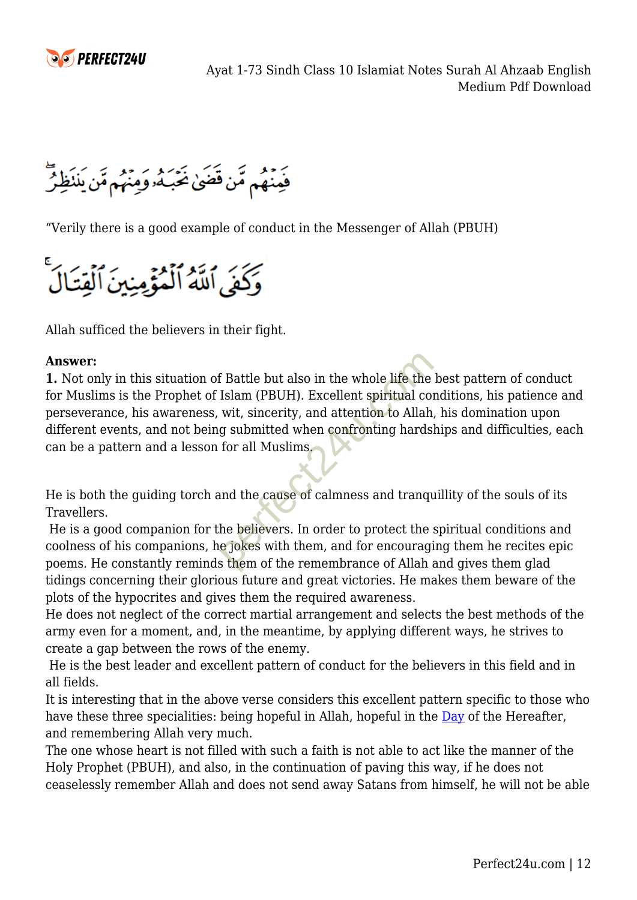

فَعِنْهُم مِّن قَضَىٰ غَبَكُه وَمِنْهُم مَّن يَننَظِرُّ

"Verily there is a good example of conduct in the Messenger of Allah (PBUH)

وَكَفَى اللَّهُ اَلْمُؤْمِنِينَ اَلْقِتَالَ

Allah sufficed the believers in their fight.

#### **Answer:**

**1.** Not only in this situation of Battle but also in the whole life the best pattern of conduct for Muslims is the Prophet of Islam (PBUH). Excellent spiritual conditions, his patience and perseverance, his awareness, wit, sincerity, and attention to Allah, his domination upon different events, and not being submitted when confronting hardships and difficulties, each can be a pattern and a lesson for all Muslims. f Battle but also in the whole life the<br>Islam (PBUH). Excellent spiritual con<br>wit, sincerity, and attention to Allah<br>g submitted when confronting hards<br>for all Muslims.<br>and the cause of calmness and tranqu<br>he believers. In

He is both the guiding torch and the cause of calmness and tranquillity of the souls of its Travellers.

 He is a good companion for the believers. In order to protect the spiritual conditions and coolness of his companions, he jokes with them, and for encouraging them he recites epic poems. He constantly reminds them of the remembrance of Allah and gives them glad tidings concerning their glorious future and great victories. He makes them beware of the plots of the hypocrites and gives them the required awareness.

He does not neglect of the correct martial arrangement and selects the best methods of the army even for a moment, and, in the meantime, by applying different ways, he strives to create a gap between the rows of the enemy.

 He is the best leader and excellent pattern of conduct for the believers in this field and in all fields.

It is interesting that in the above verse considers this excellent pattern specific to those who have these three specialities: being hopeful in Allah, hopeful in the [Day](https://www.perfect24u.com/top-independence-day-essay-on-pakistan-14-august-for-all-classes/) of the Hereafter, and remembering Allah very much.

The one whose heart is not filled with such a faith is not able to act like the manner of the Holy Prophet (PBUH), and also, in the continuation of paving this way, if he does not ceaselessly remember Allah and does not send away Satans from himself, he will not be able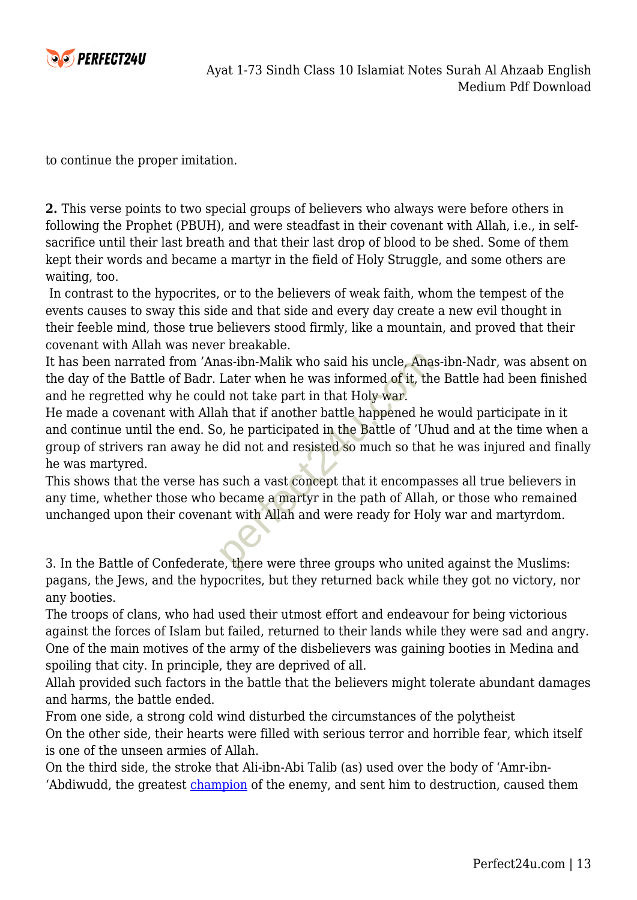

to continue the proper imitation.

**2.** This verse points to two special groups of believers who always were before others in following the Prophet (PBUH), and were steadfast in their covenant with Allah, i.e., in selfsacrifice until their last breath and that their last drop of blood to be shed. Some of them kept their words and became a martyr in the field of Holy Struggle, and some others are waiting, too.

 In contrast to the hypocrites, or to the believers of weak faith, whom the tempest of the events causes to sway this side and that side and every day create a new evil thought in their feeble mind, those true believers stood firmly, like a mountain, and proved that their covenant with Allah was never breakable.

It has been narrated from 'Anas-ibn-Malik who said his uncle, Anas-ibn-Nadr, was absent on the day of the Battle of Badr. Later when he was informed of it, the Battle had been finished and he regretted why he could not take part in that Holy war.

He made a covenant with Allah that if another battle happened he would participate in it and continue until the end. So, he participated in the Battle of 'Uhud and at the time when a group of strivers ran away he did not and resisted so much so that he was injured and finally he was martyred. as-ibn-Malik who said his uncle, Ana<br>Later when he was informed of it, the<br>d not take part in that Holy war.<br>h that if another battle happened he<br>b, he participated in the Battle of 'Uh<br>did not and resisted so much so that

This shows that the verse has such a vast concept that it encompasses all true believers in any time, whether those who became a martyr in the path of Allah, or those who remained unchanged upon their covenant with Allah and were ready for Holy war and martyrdom.

3. In the Battle of Confederate, there were three groups who united against the Muslims: pagans, the Jews, and the hypocrites, but they returned back while they got no victory, nor any booties.

The troops of clans, who had used their utmost effort and endeavour for being victorious against the forces of Islam but failed, returned to their lands while they were sad and angry. One of the main motives of the army of the disbelievers was gaining booties in Medina and spoiling that city. In principle, they are deprived of all.

Allah provided such factors in the battle that the believers might tolerate abundant damages and harms, the battle ended.

From one side, a strong cold wind disturbed the circumstances of the polytheist On the other side, their hearts were filled with serious terror and horrible fear, which itself is one of the unseen armies of Allah.

On the third side, the stroke that Ali-ibn-Abi Talib (as) used over the body of 'Amr-ibn 'Abdiwudd, the greatest [champion](https://www.perfect24u.com/unit-02-the-champions-class-10-english-notes/) of the enemy, and sent him to destruction, caused them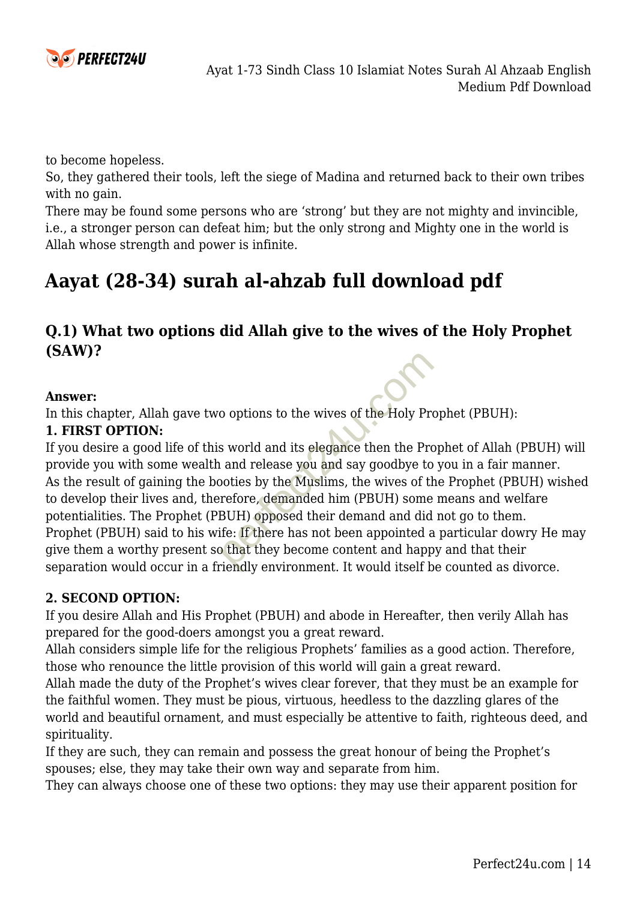

to become hopeless.

So, they gathered their tools, left the siege of Madina and returned back to their own tribes with no gain.

There may be found some persons who are 'strong' but they are not mighty and invincible, i.e., a stronger person can defeat him; but the only strong and Mighty one in the world is Allah whose strength and power is infinite.

# **Aayat (28-34) surah al-ahzab full download pdf**

# **Q.1) What two options did Allah give to the wives of the Holy Prophet (SAW)?**

#### **Answer:**

In this chapter, Allah gave two options to the wives of the Holy Prophet (PBUH):

#### **1. FIRST OPTION:**

If you desire a good life of this world and its elegance then the Prophet of Allah (PBUH) will provide you with some wealth and release you and say goodbye to you in a fair manner. As the result of gaining the booties by the Muslims, the wives of the Prophet (PBUH) wished to develop their lives and, therefore, demanded him (PBUH) some means and welfare potentialities. The Prophet (PBUH) opposed their demand and did not go to them. Prophet (PBUH) said to his wife: If there has not been appointed a particular dowry He may give them a worthy present so that they become content and happy and that their separation would occur in a friendly environment. It would itself be counted as divorce. o options to the wives of the Holy Pre<br>s world and its elegance then the Pro<br>n and release you and say goodbye to<br>poties by the Muslims, the wives of the<br>refore, demanded him (PBUH) some<br>BUH) opposed their demand and did<br>i

#### **2. SECOND OPTION:**

If you desire Allah and His Prophet (PBUH) and abode in Hereafter, then verily Allah has prepared for the good-doers amongst you a great reward.

Allah considers simple life for the religious Prophets' families as a good action. Therefore, those who renounce the little provision of this world will gain a great reward.

Allah made the duty of the Prophet's wives clear forever, that they must be an example for the faithful women. They must be pious, virtuous, heedless to the dazzling glares of the world and beautiful ornament, and must especially be attentive to faith, righteous deed, and spirituality.

If they are such, they can remain and possess the great honour of being the Prophet's spouses; else, they may take their own way and separate from him.

They can always choose one of these two options: they may use their apparent position for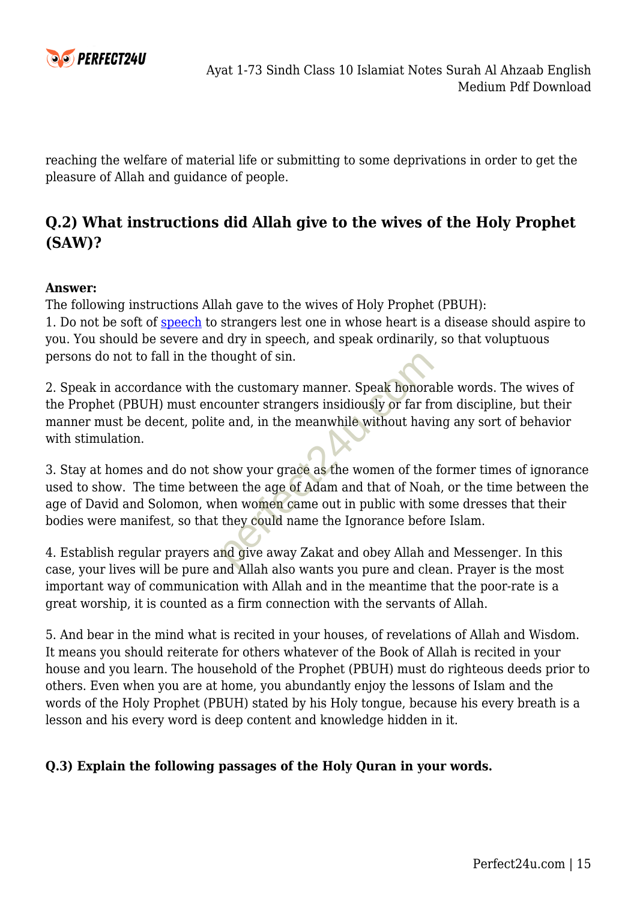

reaching the welfare of material life or submitting to some deprivations in order to get the pleasure of Allah and guidance of people.

# **Q.2) What instructions did Allah give to the wives of the Holy Prophet (SAW)?**

#### **Answer:**

The following instructions Allah gave to the wives of Holy Prophet (PBUH): 1. Do not be soft of [speech](https://www.perfect24u.com/top-5-independence-day-speech-of-pakistan-14-august-in-english/) to strangers lest one in whose heart is a disease should aspire to you. You should be severe and dry in speech, and speak ordinarily, so that voluptuous persons do not to fall in the thought of sin.

2. Speak in accordance with the customary manner. Speak honorable words. The wives of the Prophet (PBUH) must encounter strangers insidiously or far from discipline, but their manner must be decent, polite and, in the meanwhile without having any sort of behavior with stimulation.

3. Stay at homes and do not show your grace as the women of the former times of ignorance used to show. The time between the age of Adam and that of Noah, or the time between the age of David and Solomon, when women came out in public with some dresses that their bodies were manifest, so that they could name the Ignorance before Islam. nought of sin.<br>
the customary manner. Speak honora<br>
counter strangers insidiously or far fr<br>
e and, in the meanwhile without havi<br>
how your grace as the women of the<br>
een the age of Adam and that of Noa<br>
nen women came out

4. Establish regular prayers and give away Zakat and obey Allah and Messenger. In this case, your lives will be pure and Allah also wants you pure and clean. Prayer is the most important way of communication with Allah and in the meantime that the poor-rate is a great worship, it is counted as a firm connection with the servants of Allah.

5. And bear in the mind what is recited in your houses, of revelations of Allah and Wisdom. It means you should reiterate for others whatever of the Book of Allah is recited in your house and you learn. The household of the Prophet (PBUH) must do righteous deeds prior to others. Even when you are at home, you abundantly enjoy the lessons of Islam and the words of the Holy Prophet (PBUH) stated by his Holy tongue, because his every breath is a lesson and his every word is deep content and knowledge hidden in it.

#### **Q.3) Explain the following passages of the Holy Quran in your words.**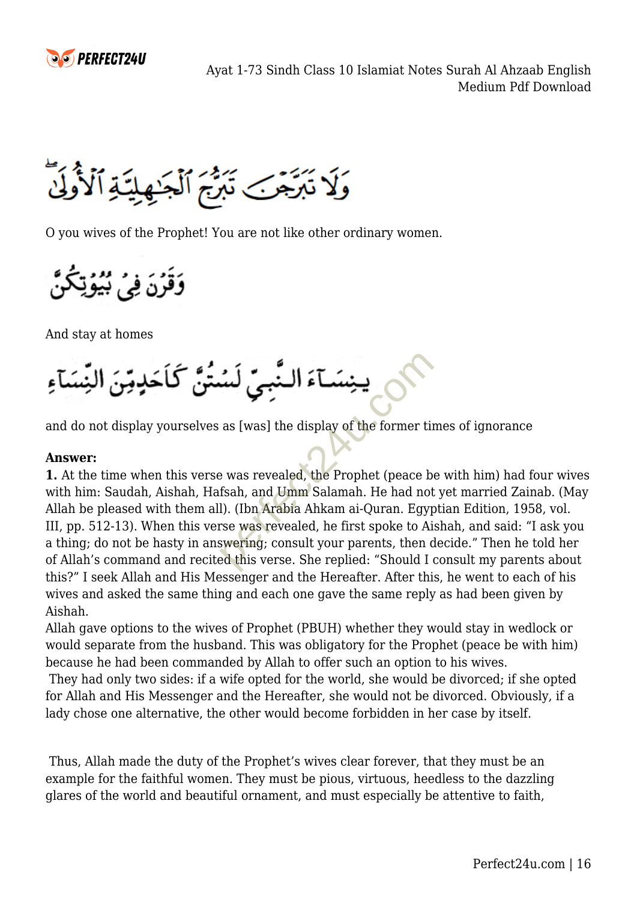

وَلَا تَبَرَّجَنَ تَبَرُّجَ ٱلْجَـٰهِلِيَّـٰةِ ٱلْأُولَىٰ

O you wives of the Prophet! You are not like other ordinary women.

وَقَرَنَ فِيَ بُيُوَتِكُنُ

And stay at homes



and do not display yourselves as [was] the display of the former times of ignorance

#### **Answer:**

**1.** At the time when this verse was revealed, the Prophet (peace be with him) had four wives with him: Saudah, Aishah, Hafsah, and Umm Salamah. He had not yet married Zainab. (May Allah be pleased with them all). (Ibn Arabia Ahkam ai-Quran. Egyptian Edition, 1958, vol. III, pp. 512-13). When this verse was revealed, he first spoke to Aishah, and said: "I ask you a thing; do not be hasty in answering; consult your parents, then decide." Then he told her of Allah's command and recited this verse. She replied: "Should I consult my parents about this?" I seek Allah and His Messenger and the Hereafter. After this, he went to each of his wives and asked the same thing and each one gave the same reply as had been given by Aishah.

Allah gave options to the wives of Prophet (PBUH) whether they would stay in wedlock or would separate from the husband. This was obligatory for the Prophet (peace be with him) because he had been commanded by Allah to offer such an option to his wives.

 They had only two sides: if a wife opted for the world, she would be divorced; if she opted for Allah and His Messenger and the Hereafter, she would not be divorced. Obviously, if a lady chose one alternative, the other would become forbidden in her case by itself.

 Thus, Allah made the duty of the Prophet's wives clear forever, that they must be an example for the faithful women. They must be pious, virtuous, heedless to the dazzling glares of the world and beautiful ornament, and must especially be attentive to faith,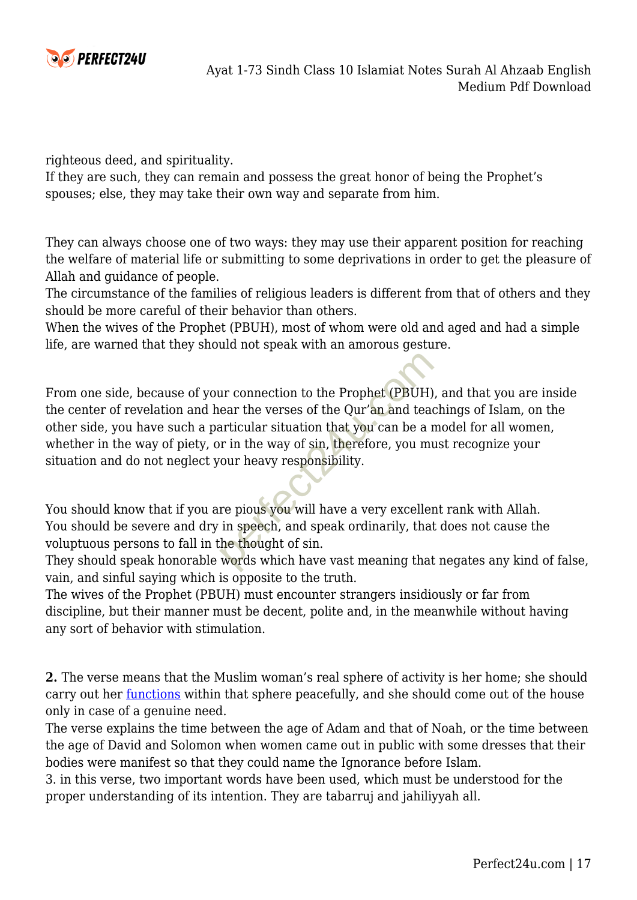

righteous deed, and spirituality.

If they are such, they can remain and possess the great honor of being the Prophet's spouses; else, they may take their own way and separate from him.

They can always choose one of two ways: they may use their apparent position for reaching the welfare of material life or submitting to some deprivations in order to get the pleasure of Allah and guidance of people.

The circumstance of the families of religious leaders is different from that of others and they should be more careful of their behavior than others.

When the wives of the Prophet (PBUH), most of whom were old and aged and had a simple life, are warned that they should not speak with an amorous gesture.

From one side, because of your connection to the Prophet (PBUH), and that you are inside the center of revelation and hear the verses of the Qur'an and teachings of Islam, on the other side, you have such a particular situation that you can be a model for all women, whether in the way of piety, or in the way of sin, therefore, you must recognize your situation and do not neglect your heavy responsibility. ur connection to the Prophet (PBUH)<br>ear the verses of the Qur'an and tead<br>articular situation that you can be a r<br>or in the way of sin, therefore, you mu<br>our heavy responsibility.<br>re pious you will have a very exceller<br>in

You should know that if you are pious you will have a very excellent rank with Allah. You should be severe and dry in speech, and speak ordinarily, that does not cause the voluptuous persons to fall in the thought of sin.

They should speak honorable words which have vast meaning that negates any kind of false, vain, and sinful saying which is opposite to the truth.

The wives of the Prophet (PBUH) must encounter strangers insidiously or far from discipline, but their manner must be decent, polite and, in the meanwhile without having any sort of behavior with stimulation.

**2.** The verse means that the Muslim woman's real sphere of activity is her home; she should carry out her *functions* within that sphere peacefully, and she should come out of the house only in case of a genuine need.

The verse explains the time between the age of Adam and that of Noah, or the time between the age of David and Solomon when women came out in public with some dresses that their bodies were manifest so that they could name the Ignorance before Islam.

3. in this verse, two important words have been used, which must be understood for the proper understanding of its intention. They are tabarruj and jahiliyyah all.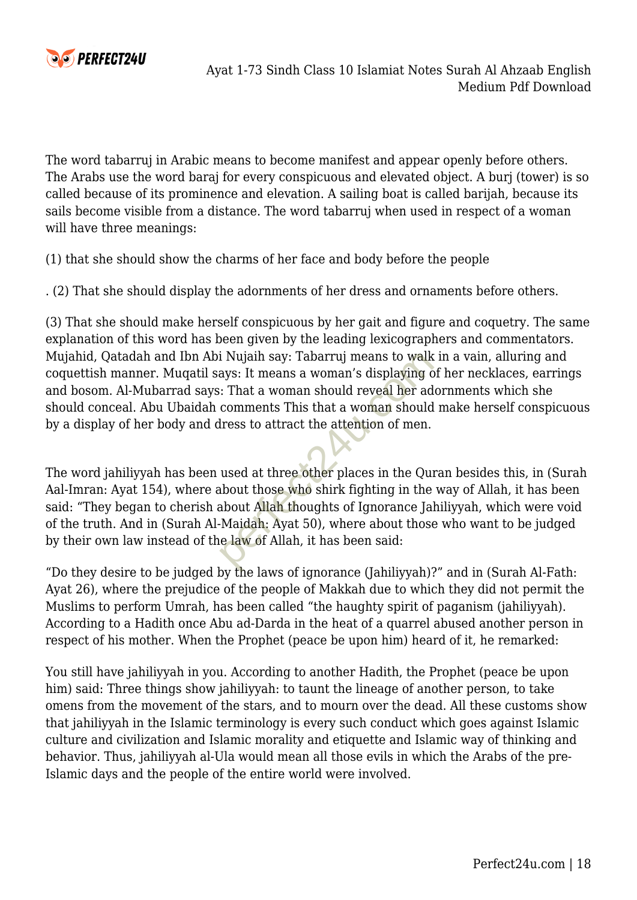

The word tabarruj in Arabic means to become manifest and appear openly before others. The Arabs use the word baraj for every conspicuous and elevated object. A burj (tower) is so called because of its prominence and elevation. A sailing boat is called barijah, because its sails become visible from a distance. The word tabarruj when used in respect of a woman will have three meanings:

(1) that she should show the charms of her face and body before the people

. (2) That she should display the adornments of her dress and ornaments before others.

(3) That she should make herself conspicuous by her gait and figure and coquetry. The same explanation of this word has been given by the leading lexicographers and commentators. Mujahid, Qatadah and Ibn Abi Nujaih say: Tabarruj means to walk in a vain, alluring and coquettish manner. Muqatil says: It means a woman's displaying of her necklaces, earrings and bosom. Al-Mubarrad says: That a woman should reveal her adornments which she should conceal. Abu Ubaidah comments This that a woman should make herself conspicuous by a display of her body and dress to attract the attention of men.

The word jahiliyyah has been used at three other places in the Quran besides this, in (Surah Aal-Imran: Ayat 154), where about those who shirk fighting in the way of Allah, it has been said: "They began to cherish about Allah thoughts of Ignorance Jahiliyyah, which were void of the truth. And in (Surah Al-Maidah: Ayat 50), where about those who want to be judged by their own law instead of the law of Allah, it has been said: i Nujaih say: Tabarruj means to walk<br>ays: It means a woman's displaying c<br>:: That a woman should reveal her ad<br>comments This that a woman should<br>dress to attract the attention of men.<br>used at three other places in the Qui<br>

"Do they desire to be judged by the laws of ignorance (Jahiliyyah)?" and in (Surah Al-Fath: Ayat 26), where the prejudice of the people of Makkah due to which they did not permit the Muslims to perform Umrah, has been called "the haughty spirit of paganism (jahiliyyah). According to a Hadith once Abu ad-Darda in the heat of a quarrel abused another person in respect of his mother. When the Prophet (peace be upon him) heard of it, he remarked:

You still have jahiliyyah in you. According to another Hadith, the Prophet (peace be upon him) said: Three things show jahiliyyah: to taunt the lineage of another person, to take omens from the movement of the stars, and to mourn over the dead. All these customs show that jahiliyyah in the Islamic terminology is every such conduct which goes against Islamic culture and civilization and Islamic morality and etiquette and Islamic way of thinking and behavior. Thus, jahiliyyah al-Ula would mean all those evils in which the Arabs of the pre-Islamic days and the people of the entire world were involved.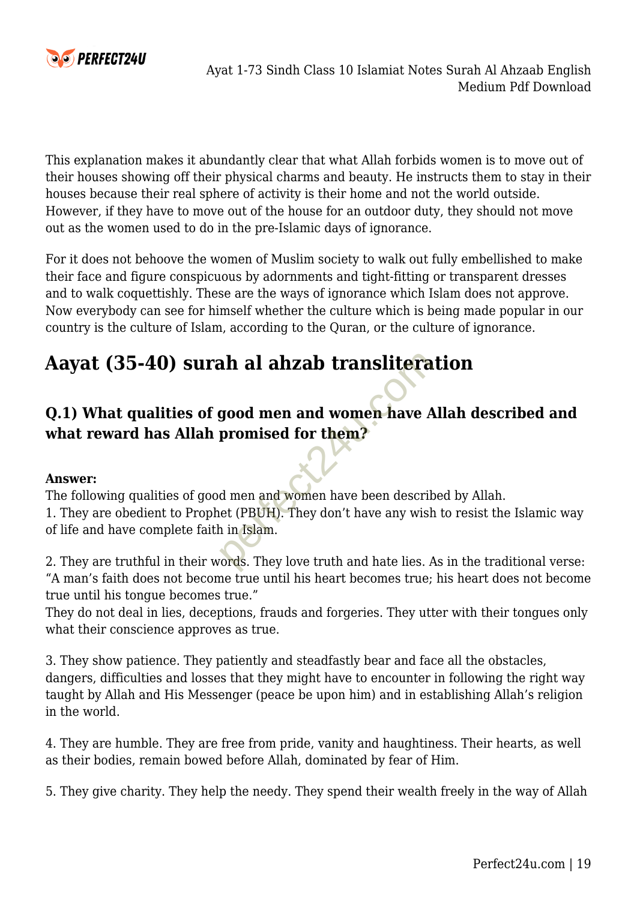

This explanation makes it abundantly clear that what Allah forbids women is to move out of their houses showing off their physical charms and beauty. He instructs them to stay in their houses because their real sphere of activity is their home and not the world outside. However, if they have to move out of the house for an outdoor duty, they should not move out as the women used to do in the pre-Islamic days of ignorance.

For it does not behoove the women of Muslim society to walk out fully embellished to make their face and figure conspicuous by adornments and tight-fitting or transparent dresses and to walk coquettishly. These are the ways of ignorance which Islam does not approve. Now everybody can see for himself whether the culture which is being made popular in our country is the culture of Islam, according to the Quran, or the culture of ignorance.

# **Aayat (35-40) surah al ahzab transliteration**

# **Q.1) What qualities of good men and women have Allah described and what reward has Allah promised for them?**

#### **Answer:**

The following qualities of good men and women have been described by Allah. 1. They are obedient to Prophet (PBUH). They don't have any wish to resist the Islamic way of life and have complete faith in Islam. **ah al ahzab translitera**<br> **good men and women have A**<br> **promised for them?**<br> **d** men and women have been descritet<br>
(PBUH). They don't have any wish<br>
in Islam.<br> **ords**. They love truth and hate lies. A

2. They are truthful in their words. They love truth and hate lies. As in the traditional verse: "A man's faith does not become true until his heart becomes true; his heart does not become true until his tongue becomes true."

They do not deal in lies, deceptions, frauds and forgeries. They utter with their tongues only what their conscience approves as true.

3. They show patience. They patiently and steadfastly bear and face all the obstacles, dangers, difficulties and losses that they might have to encounter in following the right way taught by Allah and His Messenger (peace be upon him) and in establishing Allah's religion in the world.

4. They are humble. They are free from pride, vanity and haughtiness. Their hearts, as well as their bodies, remain bowed before Allah, dominated by fear of Him.

5. They give charity. They help the needy. They spend their wealth freely in the way of Allah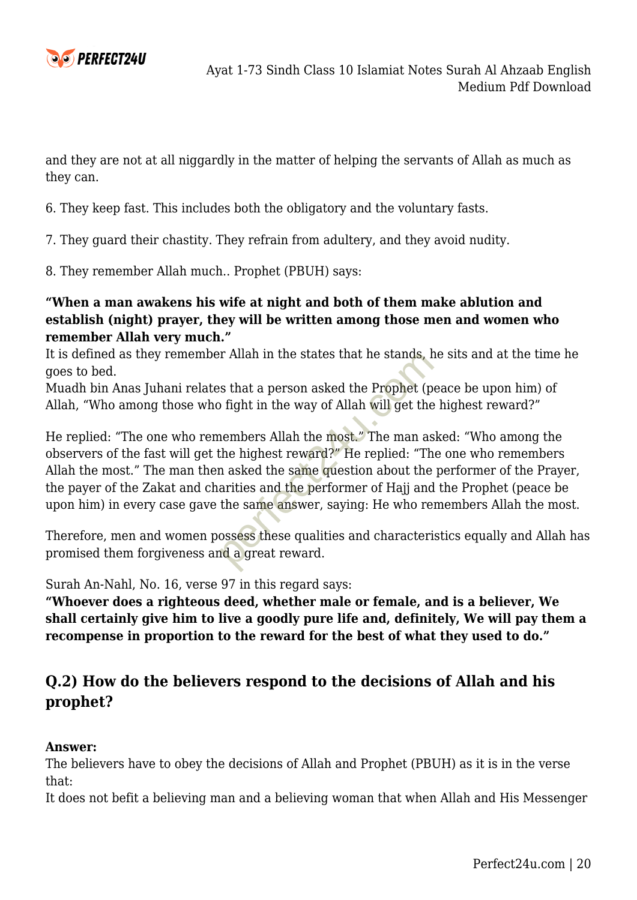

and they are not at all niggardly in the matter of helping the servants of Allah as much as they can.

6. They keep fast. This includes both the obligatory and the voluntary fasts.

7. They guard their chastity. They refrain from adultery, and they avoid nudity.

8. They remember Allah much.. Prophet (PBUH) says:

#### **"When a man awakens his wife at night and both of them make ablution and establish (night) prayer, they will be written among those men and women who remember Allah very much."**

It is defined as they remember Allah in the states that he stands, he sits and at the time he goes to bed.

Muadh bin Anas Juhani relates that a person asked the Prophet (peace be upon him) of Allah, "Who among those who fight in the way of Allah will get the highest reward?"

He replied: "The one who remembers Allah the most." The man asked: "Who among the observers of the fast will get the highest reward?" He replied: "The one who remembers Allah the most." The man then asked the same question about the performer of the Prayer, the payer of the Zakat and charities and the performer of Hajj and the Prophet (peace be upon him) in every case gave the same answer, saying: He who remembers Allah the most. is that a person asked the Prophet (p<br>o fight in the way of Allah will get the<br>nembers Allah the most." The man as<br>the highest reward?" He replied: "Th<br>n asked the same question about the<br>arities and the performer of Hajj

Therefore, men and women possess these qualities and characteristics equally and Allah has promised them forgiveness and a great reward.

Surah An-Nahl, No. 16, verse 97 in this regard says:

**"Whoever does a righteous deed, whether male or female, and is a believer, We shall certainly give him to live a goodly pure life and, definitely, We will pay them a recompense in proportion to the reward for the best of what they used to do."**

### **Q.2) How do the believers respond to the decisions of Allah and his prophet?**

#### **Answer:**

The believers have to obey the decisions of Allah and Prophet (PBUH) as it is in the verse that:

It does not befit a believing man and a believing woman that when Allah and His Messenger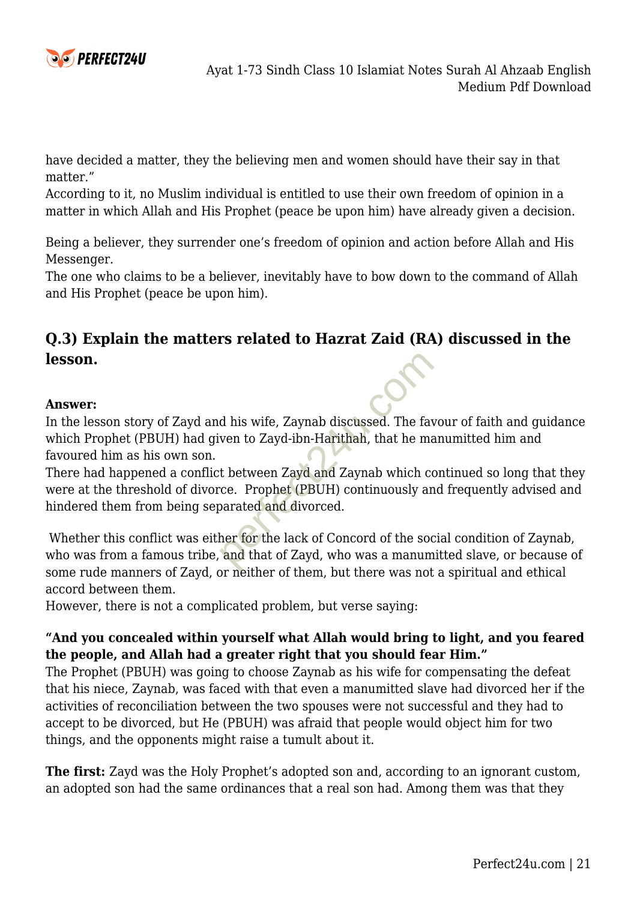

have decided a matter, they the believing men and women should have their say in that matter."

According to it, no Muslim individual is entitled to use their own freedom of opinion in a matter in which Allah and His Prophet (peace be upon him) have already given a decision.

Being a believer, they surrender one's freedom of opinion and action before Allah and His Messenger.

The one who claims to be a believer, inevitably have to bow down to the command of Allah and His Prophet (peace be upon him).

# **Q.3) Explain the matters related to Hazrat Zaid (RA) discussed in the lesson.**

#### **Answer:**

In the lesson story of Zayd and his wife, Zaynab discussed. The favour of faith and guidance which Prophet (PBUH) had given to Zayd-ibn-Harithah, that he manumitted him and favoured him as his own son.

There had happened a conflict between Zayd and Zaynab which continued so long that they were at the threshold of divorce. Prophet (PBUH) continuously and frequently advised and hindered them from being separated and divorced. d his wife, Zaynab discussed. The favor to Zayd-ibn-Harithah, that he mast<br>the between Zayd and Zaynab which compared and divorced.<br>perfect (PBUH) continuously are<br>parated and divorced.<br>ther for the lack of Concord of the

 Whether this conflict was either for the lack of Concord of the social condition of Zaynab, who was from a famous tribe, and that of Zayd, who was a manumitted slave, or because of some rude manners of Zayd, or neither of them, but there was not a spiritual and ethical accord between them.

However, there is not a complicated problem, but verse saying:

#### **"And you concealed within yourself what Allah would bring to light, and you feared the people, and Allah had a greater right that you should fear Him."**

The Prophet (PBUH) was going to choose Zaynab as his wife for compensating the defeat that his niece, Zaynab, was faced with that even a manumitted slave had divorced her if the activities of reconciliation between the two spouses were not successful and they had to accept to be divorced, but He (PBUH) was afraid that people would object him for two things, and the opponents might raise a tumult about it.

**The first:** Zayd was the Holy Prophet's adopted son and, according to an ignorant custom, an adopted son had the same ordinances that a real son had. Among them was that they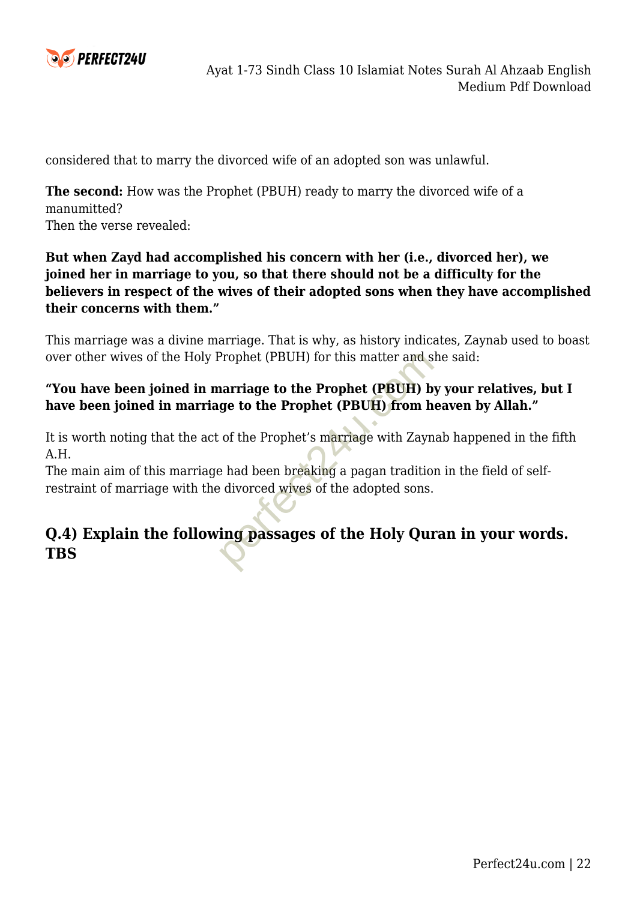

considered that to marry the divorced wife of an adopted son was unlawful.

**The second:** How was the Prophet (PBUH) ready to marry the divorced wife of a manumitted? Then the verse revealed:

#### **But when Zayd had accomplished his concern with her (i.e., divorced her), we joined her in marriage to you, so that there should not be a difficulty for the believers in respect of the wives of their adopted sons when they have accomplished their concerns with them."**

This marriage was a divine marriage. That is why, as history indicates, Zaynab used to boast over other wives of the Holy Prophet (PBUH) for this matter and she said:

#### **"You have been joined in marriage to the Prophet (PBUH) by your relatives, but I have been joined in marriage to the Prophet (PBUH) from heaven by Allah."**

It is worth noting that the act of the Prophet's marriage with Zaynab happened in the fifth A.H.

The main aim of this marriage had been breaking a pagan tradition in the field of selfrestraint of marriage with the divorced wives of the adopted sons.

# **Q.4) Explain the following passages of the Holy Quran in your words.** over other wives of the Holy Prophet (PBUH) for this matter and s<br> **Tou have been joined in marriage to the Prophet (PBUH) b**<br> **have been joined in marriage to the Prophet (PBUH) from h**<br>
It is worth noting that the act of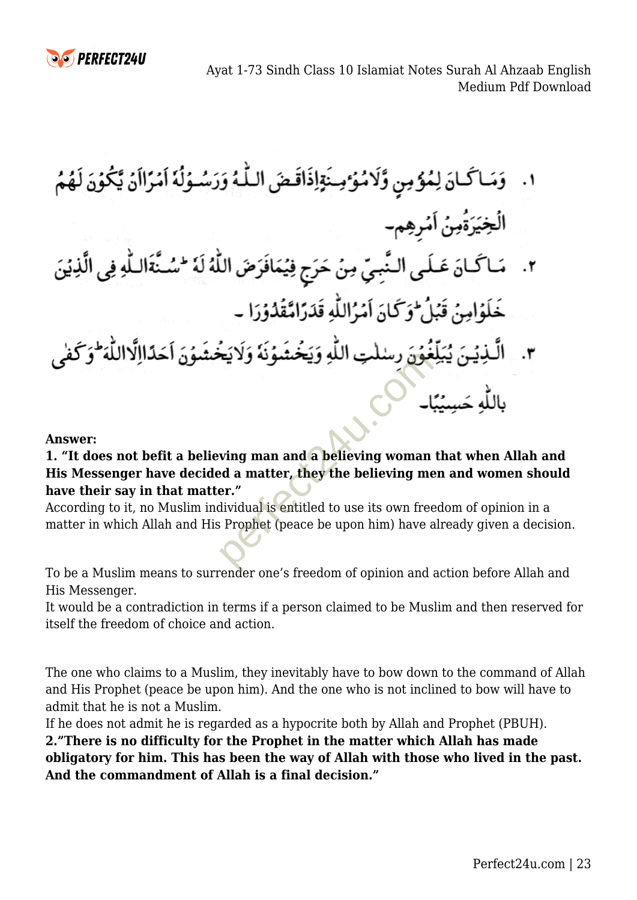Ayat 1-73 Sindh Class 10 Islamiat Notes Surah Al Ahzaab English Medium Pdf Download

- ١. وَمَاكَمَانَ لِمُؤْمِنٍ وَّلَامُؤْمِنَةٍ إِذَاقَصَ اللَّهُ وَرَسُوَلُهُ إِمْرَاأَنُ يَكُوْنَ لَهُمُ الُخِيَرَةُمِنُ اَمْرِهِمِ-
- ٢. مَاكَانَ عَلَى النَّبِيِّ مِنْ حَرَجٍ فِيُمَافَرَضَ اللَّهُ لَهُ لَسُنَّةَاللَّهِ فِي الَّذِيْنَ خَلَوۡامِنۡ قَبۡلُ ۖ وَكَانَ اَمۡرُاللَّهِ قَدَرَامَّقُدُوۡرَا ۔
- مون رسنگت اللهِ ویحتشونه ولایت<br>ing man and a believing woman<br>ed a matter, they the believing me<br>er."<br>ilividual is entitled to use its own free<br>prophet (peace be upon him) have a<br>prophet (peace be upon him) have a<br>prophet

**Answer:**

#### **1. "It does not befit a believing man and a believing woman that when Allah and His Messenger have decided a matter, they the believing men and women should have their say in that matter."**

According to it, no Muslim individual is entitled to use its own freedom of opinion in a matter in which Allah and His Prophet (peace be upon him) have already given a decision.

To be a Muslim means to surrender one's freedom of opinion and action before Allah and His Messenger.

It would be a contradiction in terms if a person claimed to be Muslim and then reserved for itself the freedom of choice and action.

The one who claims to a Muslim, they inevitably have to bow down to the command of Allah and His Prophet (peace be upon him). And the one who is not inclined to bow will have to admit that he is not a Muslim.

If he does not admit he is regarded as a hypocrite both by Allah and Prophet (PBUH).

**2."There is no difficulty for the Prophet in the matter which Allah has made obligatory for him. This has been the way of Allah with those who lived in the past. And the commandment of Allah is a final decision."**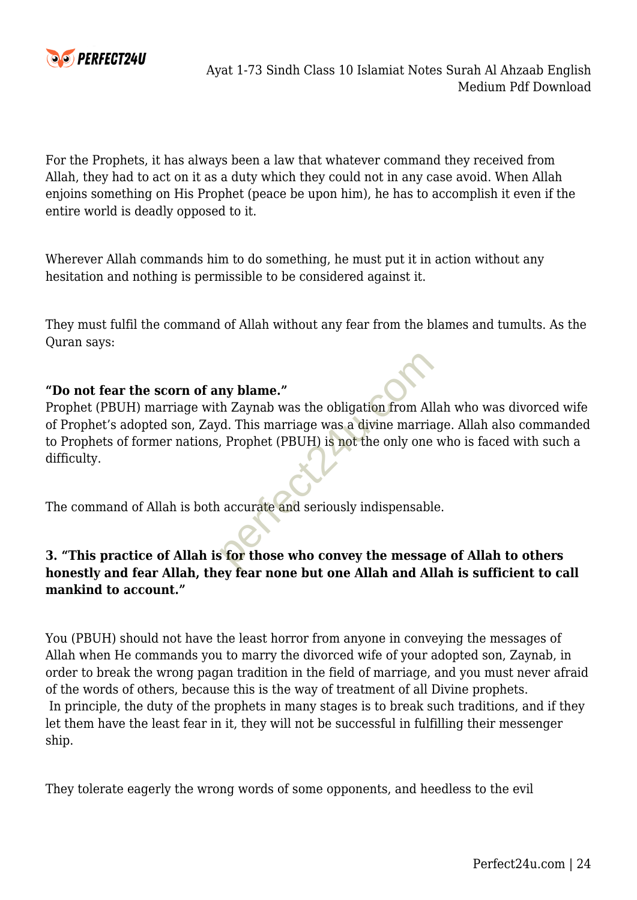

For the Prophets, it has always been a law that whatever command they received from Allah, they had to act on it as a duty which they could not in any case avoid. When Allah enjoins something on His Prophet (peace be upon him), he has to accomplish it even if the entire world is deadly opposed to it.

Wherever Allah commands him to do something, he must put it in action without any hesitation and nothing is permissible to be considered against it.

They must fulfil the command of Allah without any fear from the blames and tumults. As the Quran says:

#### **"Do not fear the scorn of any blame."**

Prophet (PBUH) marriage with Zaynab was the obligation from Allah who was divorced wife of Prophet's adopted son, Zayd. This marriage was a divine marriage. Allah also commanded to Prophets of former nations, Prophet (PBUH) is not the only one who is faced with such a difficulty. ny blame."<br>
h Zaynab was the obligation from Alian Carriers.<br>
This marriage was a divine marrial, Prophet (PBUH) is not the only one<br>
accurate and seriously indispensable<br>
is for those who convey the message<br>
over for none

The command of Allah is both accurate and seriously indispensable.

#### **3. "This practice of Allah is for those who convey the message of Allah to others honestly and fear Allah, they fear none but one Allah and Allah is sufficient to call mankind to account."**

You (PBUH) should not have the least horror from anyone in conveying the messages of Allah when He commands you to marry the divorced wife of your adopted son, Zaynab, in order to break the wrong pagan tradition in the field of marriage, and you must never afraid of the words of others, because this is the way of treatment of all Divine prophets. In principle, the duty of the prophets in many stages is to break such traditions, and if they let them have the least fear in it, they will not be successful in fulfilling their messenger ship.

They tolerate eagerly the wrong words of some opponents, and heedless to the evil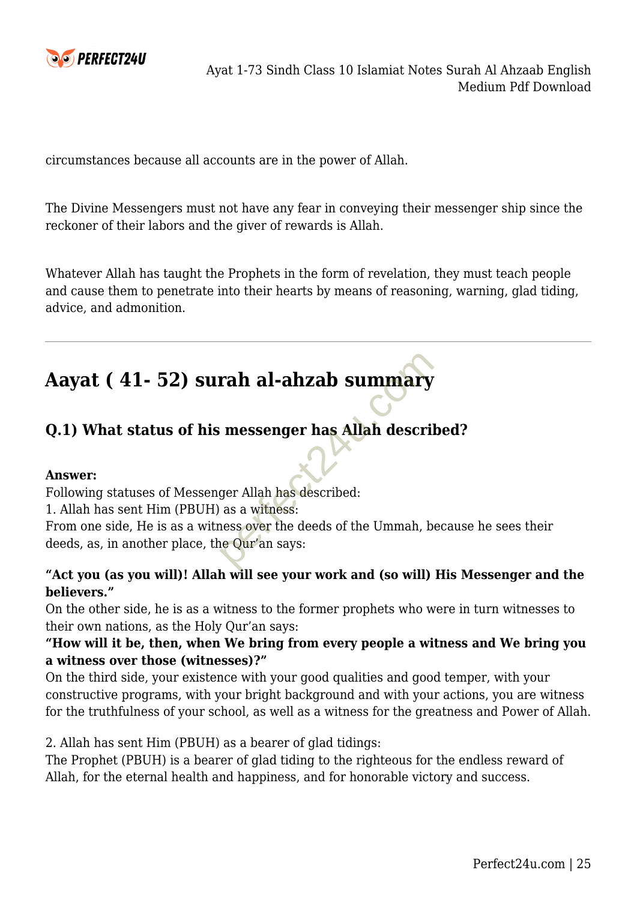

circumstances because all accounts are in the power of Allah.

The Divine Messengers must not have any fear in conveying their messenger ship since the reckoner of their labors and the giver of rewards is Allah.

Whatever Allah has taught the Prophets in the form of revelation, they must teach people and cause them to penetrate into their hearts by means of reasoning, warning, glad tiding, advice, and admonition.

# **Aayat ( 41- 52) surah al-ahzab summary**

# **Q.1) What status of his messenger has Allah described?**

#### **Answer:**

Following statuses of Messenger Allah has described:

1. Allah has sent Him (PBUH) as a witness:

From one side, He is as a witness over the deeds of the Ummah, because he sees their deeds, as, in another place, the Qur'an says: rah al-ahzab summary<br>
Expressed as a witness:<br>
ness over the deeds of the Ummah, b<br>
ne Qur'an says:<br>
and Level are are also the Ummah, b<br>
ne Qur'an says:

#### **"Act you (as you will)! Allah will see your work and (so will) His Messenger and the believers."**

On the other side, he is as a witness to the former prophets who were in turn witnesses to their own nations, as the Holy Qur'an says:

#### **"How will it be, then, when We bring from every people a witness and We bring you a witness over those (witnesses)?"**

On the third side, your existence with your good qualities and good temper, with your constructive programs, with your bright background and with your actions, you are witness for the truthfulness of your school, as well as a witness for the greatness and Power of Allah.

2. Allah has sent Him (PBUH) as a bearer of glad tidings:

The Prophet (PBUH) is a bearer of glad tiding to the righteous for the endless reward of Allah, for the eternal health and happiness, and for honorable victory and success.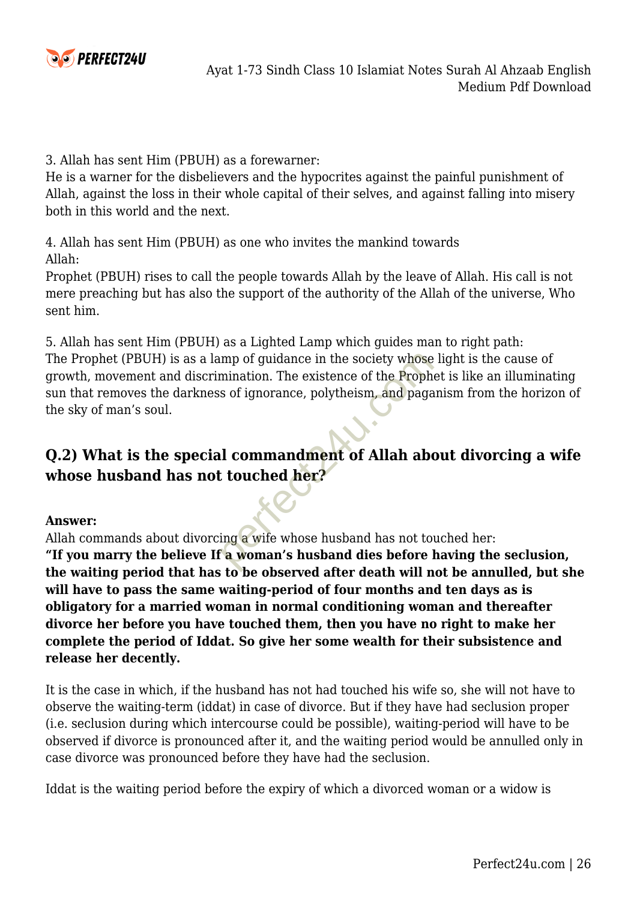

3. Allah has sent Him (PBUH) as a forewarner:

He is a warner for the disbelievers and the hypocrites against the painful punishment of Allah, against the loss in their whole capital of their selves, and against falling into misery both in this world and the next.

4. Allah has sent Him (PBUH) as one who invites the mankind towards Allah:

Prophet (PBUH) rises to call the people towards Allah by the leave of Allah. His call is not mere preaching but has also the support of the authority of the Allah of the universe, Who sent him.

5. Allah has sent Him (PBUH) as a Lighted Lamp which guides man to right path: The Prophet (PBUH) is as a lamp of guidance in the society whose light is the cause of growth, movement and discrimination. The existence of the Prophet is like an illuminating sun that removes the darkness of ignorance, polytheism, and paganism from the horizon of the sky of man's soul. mination. The existence of the Proph<br>
s of ignorance, polytheism, and paga<br>
d commandment of Allah abe<br>
d commandment of Allah abe<br>
touched her?<br>
ing a wife whose husband has not to<br>
to be observed after doath will not

# **Q.2) What is the special commandment of Allah about divorcing a wife whose husband has not touched her?**

#### **Answer:**

Allah commands about divorcing a wife whose husband has not touched her:

**"If you marry the believe If a woman's husband dies before having the seclusion, the waiting period that has to be observed after death will not be annulled, but she will have to pass the same waiting-period of four months and ten days as is obligatory for a married woman in normal conditioning woman and thereafter divorce her before you have touched them, then you have no right to make her complete the period of Iddat. So give her some wealth for their subsistence and release her decently.**

It is the case in which, if the husband has not had touched his wife so, she will not have to observe the waiting-term (iddat) in case of divorce. But if they have had seclusion proper (i.e. seclusion during which intercourse could be possible), waiting-period will have to be observed if divorce is pronounced after it, and the waiting period would be annulled only in case divorce was pronounced before they have had the seclusion.

Iddat is the waiting period before the expiry of which a divorced woman or a widow is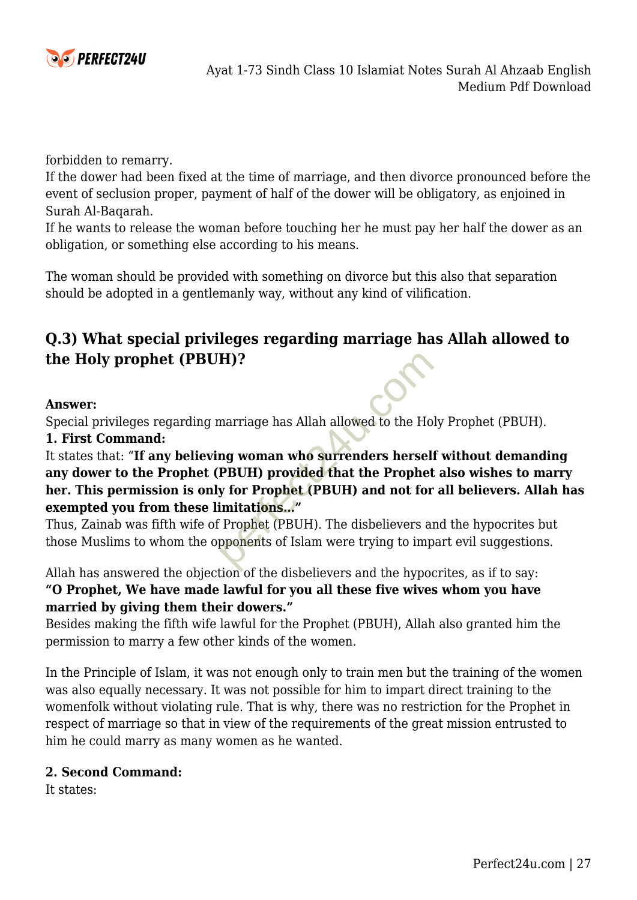

forbidden to remarry.

If the dower had been fixed at the time of marriage, and then divorce pronounced before the event of seclusion proper, payment of half of the dower will be obligatory, as enjoined in Surah Al-Baqarah.

If he wants to release the woman before touching her he must pay her half the dower as an obligation, or something else according to his means.

The woman should be provided with something on divorce but this also that separation should be adopted in a gentlemanly way, without any kind of vilification.

### **Q.3) What special privileges regarding marriage has Allah allowed to the Holy prophet (PBUH)?**

#### **Answer:**

Special privileges regarding marriage has Allah allowed to the Holy Prophet (PBUH).

#### **1. First Command:**

It states that: "**If any believing woman who surrenders herself without demanding any dower to the Prophet (PBUH) provided that the Prophet also wishes to marry her. This permission is only for Prophet (PBUH) and not for all believers. Allah has exempted you from these limitations…" H)?**<br>
marriage has Allah allowed to the Ho<br> **ng woman who surrenders hersel:**<br> **PBUH) provided that the Prophet**<br> **y for Prophet (PBUH) and not for<br>
imitations..."**<br>
Prophet (PBUH). The disbelievers all<br>
pponents of Islam

Thus, Zainab was fifth wife of Prophet (PBUH). The disbelievers and the hypocrites but those Muslims to whom the opponents of Islam were trying to impart evil suggestions.

Allah has answered the objection of the disbelievers and the hypocrites, as if to say: **"O Prophet, We have made lawful for you all these five wives whom you have married by giving them their dowers."**

Besides making the fifth wife lawful for the Prophet (PBUH), Allah also granted him the permission to marry a few other kinds of the women.

In the Principle of Islam, it was not enough only to train men but the training of the women was also equally necessary. It was not possible for him to impart direct training to the womenfolk without violating rule. That is why, there was no restriction for the Prophet in respect of marriage so that in view of the requirements of the great mission entrusted to him he could marry as many women as he wanted.

#### **2. Second Command:**

It states: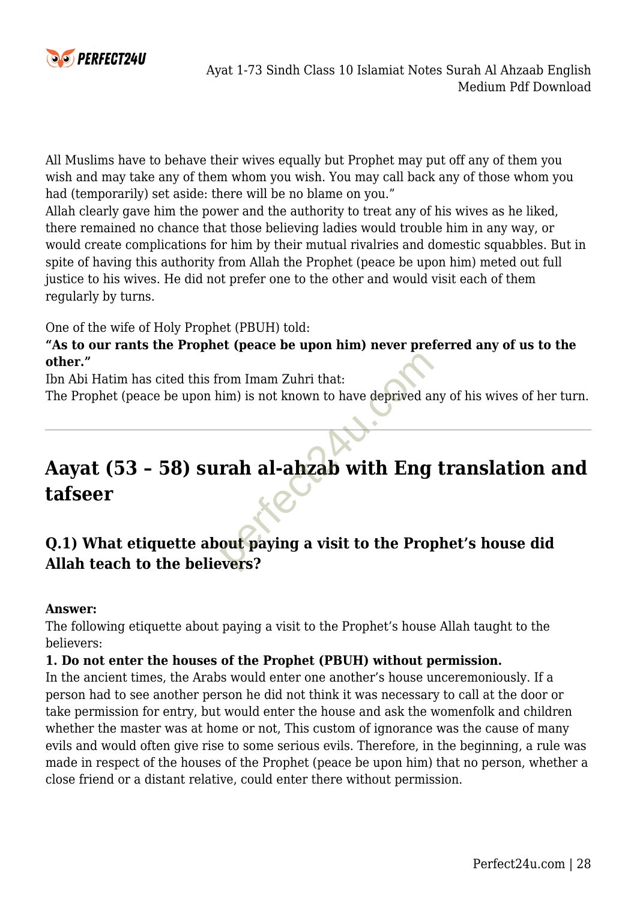

All Muslims have to behave their wives equally but Prophet may put off any of them you wish and may take any of them whom you wish. You may call back any of those whom you had (temporarily) set aside: there will be no blame on you."

Allah clearly gave him the power and the authority to treat any of his wives as he liked, there remained no chance that those believing ladies would trouble him in any way, or would create complications for him by their mutual rivalries and domestic squabbles. But in spite of having this authority from Allah the Prophet (peace be upon him) meted out full justice to his wives. He did not prefer one to the other and would visit each of them regularly by turns.

One of the wife of Holy Prophet (PBUH) told:

**"As to our rants the Prophet (peace be upon him) never preferred any of us to the other."**

Ibn Abi Hatim has cited this from Imam Zuhri that:

The Prophet (peace be upon him) is not known to have deprived any of his wives of her turn.

# **Aayat (53 – 58) surah al-ahzab with Eng translation and tafseer** rom Imam Zuhri that:<br>
im) is not known to have deprived an<br>
rah al-ahzab with Eng<br>
out paying a visit to the Prop

# **Q.1) What etiquette about paying a visit to the Prophet's house did Allah teach to the believers?**

#### **Answer:**

The following etiquette about paying a visit to the Prophet's house Allah taught to the believers:

#### **1. Do not enter the houses of the Prophet (PBUH) without permission.**

In the ancient times, the Arabs would enter one another's house unceremoniously. If a person had to see another person he did not think it was necessary to call at the door or take permission for entry, but would enter the house and ask the womenfolk and children whether the master was at home or not, This custom of ignorance was the cause of many evils and would often give rise to some serious evils. Therefore, in the beginning, a rule was made in respect of the houses of the Prophet (peace be upon him) that no person, whether a close friend or a distant relative, could enter there without permission.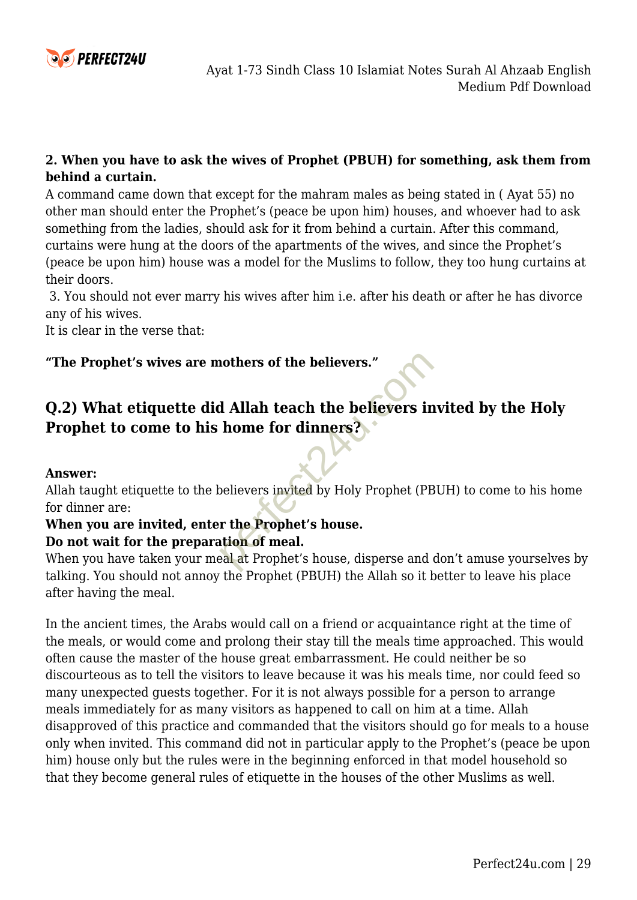

#### **2. When you have to ask the wives of Prophet (PBUH) for something, ask them from behind a curtain.**

A command came down that except for the mahram males as being stated in ( Ayat 55) no other man should enter the Prophet's (peace be upon him) houses, and whoever had to ask something from the ladies, should ask for it from behind a curtain. After this command, curtains were hung at the doors of the apartments of the wives, and since the Prophet's (peace be upon him) house was a model for the Muslims to follow, they too hung curtains at their doors.

3. You should not ever marry his wives after him i.e. after his death or after he has divorce any of his wives.

It is clear in the verse that:

#### **"The Prophet's wives are mothers of the believers."**

# **Q.2) What etiquette did Allah teach the believers invited by the Holy Prophet to come to his home for dinners?** nothers of the believers."<br>
d Allah teach the believers in<br>
home for dinners?<br>
believers invited by Holy Prophet (PE<br>
r the Prophet's house.<br>
ation of meal.<br>
eal at Prophet's house, disperse and each the prophet's house, d

#### **Answer:**

Allah taught etiquette to the believers invited by Holy Prophet (PBUH) to come to his home for dinner are:

# **When you are invited, enter the Prophet's house.**

#### **Do not wait for the preparation of meal.**

When you have taken your meal at Prophet's house, disperse and don't amuse yourselves by talking. You should not annoy the Prophet (PBUH) the Allah so it better to leave his place after having the meal.

In the ancient times, the Arabs would call on a friend or acquaintance right at the time of the meals, or would come and prolong their stay till the meals time approached. This would often cause the master of the house great embarrassment. He could neither be so discourteous as to tell the visitors to leave because it was his meals time, nor could feed so many unexpected guests together. For it is not always possible for a person to arrange meals immediately for as many visitors as happened to call on him at a time. Allah disapproved of this practice and commanded that the visitors should go for meals to a house only when invited. This command did not in particular apply to the Prophet's (peace be upon him) house only but the rules were in the beginning enforced in that model household so that they become general rules of etiquette in the houses of the other Muslims as well.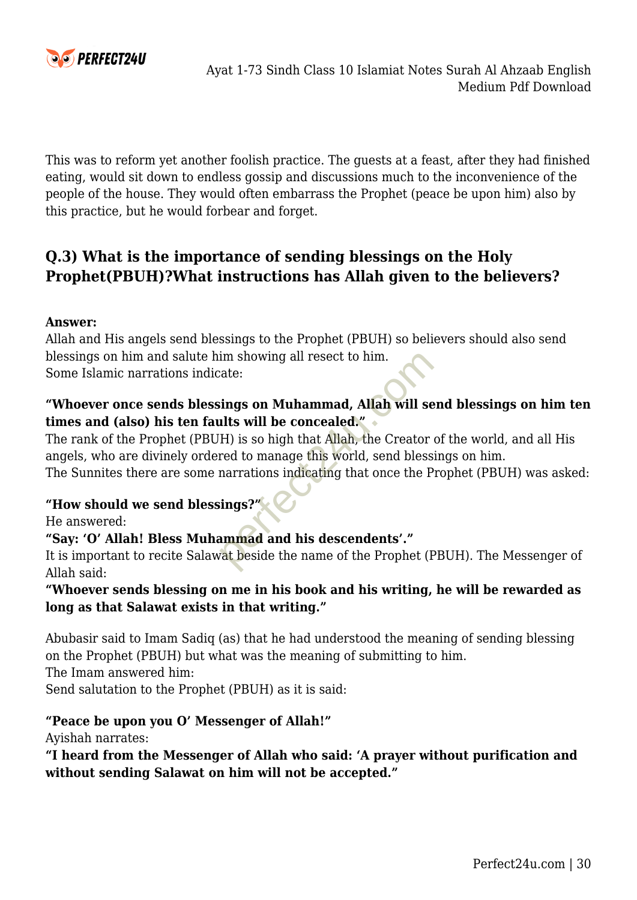

This was to reform yet another foolish practice. The guests at a feast, after they had finished eating, would sit down to endless gossip and discussions much to the inconvenience of the people of the house. They would often embarrass the Prophet (peace be upon him) also by this practice, but he would forbear and forget.

# **Q.3) What is the importance of sending blessings on the Holy Prophet(PBUH)?What instructions has Allah given to the believers?**

#### **Answer:**

Allah and His angels send blessings to the Prophet (PBUH) so believers should also send blessings on him and salute him showing all resect to him. Some Islamic narrations indicate:

#### **"Whoever once sends blessings on Muhammad, Allah will send blessings on him ten times and (also) his ten faults will be concealed."**

The rank of the Prophet (PBUH) is so high that Allah, the Creator of the world, and all His angels, who are divinely ordered to manage this world, send blessings on him. The Sunnites there are some narrations indicating that once the Prophet (PBUH) was asked: im showing all resect to him.<br>
cate:<br>
sings on Muhammad, Allah will se<br>
lits will be concealed."<br>
H is so high that Allah, the Creator<br>
red to manage this world, send bless<br>
narrations indicating that once the P<br>
sings?"<br>

#### **"How should we send blessings?"**

He answered:

#### **"Say: 'O' Allah! Bless Muhammad and his descendents'."**

It is important to recite Salawat beside the name of the Prophet (PBUH). The Messenger of Allah said:

#### **"Whoever sends blessing on me in his book and his writing, he will be rewarded as long as that Salawat exists in that writing."**

Abubasir said to Imam Sadiq (as) that he had understood the meaning of sending blessing on the Prophet (PBUH) but what was the meaning of submitting to him.

The Imam answered him:

Send salutation to the Prophet (PBUH) as it is said:

#### **"Peace be upon you O' Messenger of Allah!"**

Ayishah narrates:

**"I heard from the Messenger of Allah who said: 'A prayer without purification and without sending Salawat on him will not be accepted."**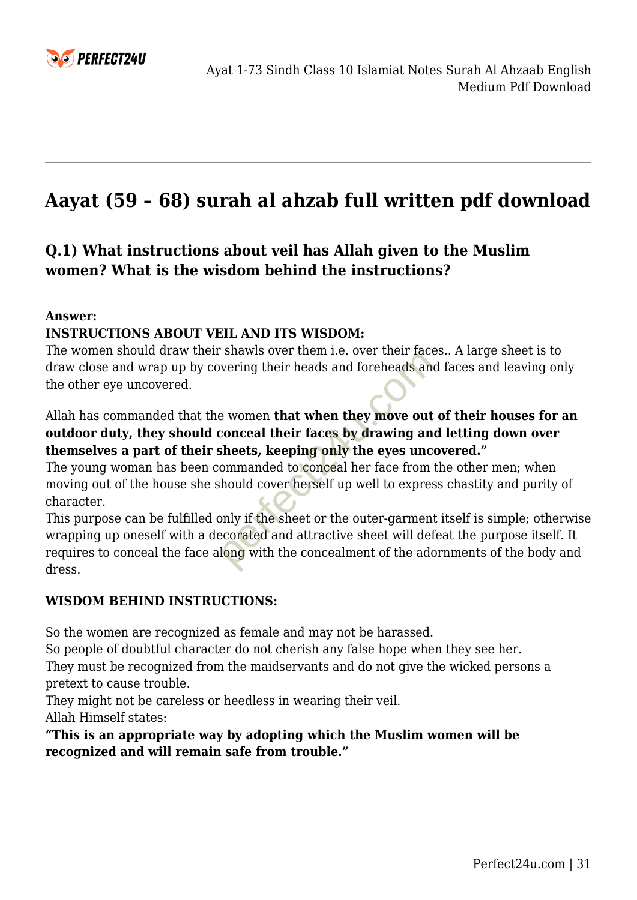

# **Aayat (59 – 68) surah al ahzab full written pdf download**

# **Q.1) What instructions about veil has Allah given to the Muslim women? What is the wisdom behind the instructions?**

#### **Answer:**

#### **INSTRUCTIONS ABOUT VEIL AND ITS WISDOM:**

The women should draw their shawls over them i.e. over their faces.. A large sheet is to draw close and wrap up by covering their heads and foreheads and faces and leaving only the other eye uncovered.

#### Allah has commanded that the women **that when they move out of their houses for an outdoor duty, they should conceal their faces by drawing and letting down over themselves a part of their sheets, keeping only the eyes uncovered."**

The young woman has been commanded to conceal her face from the other men; when moving out of the house she should cover herself up well to express chastity and purity of character.

This purpose can be fulfilled only if the sheet or the outer-garment itself is simple; otherwise wrapping up oneself with a decorated and attractive sheet will defeat the purpose itself. It requires to conceal the face along with the concealment of the adornments of the body and dress. between the two-term i.e. over the that<br>wering their heads and foreheads an<br>e women **that when they move out**<br>conceal their faces by drawing an<br>sheets, keeping only the eyes unc<br>ommanded to conceal her face from<br>hould cove

#### **WISDOM BEHIND INSTRUCTIONS:**

So the women are recognized as female and may not be harassed.

So people of doubtful character do not cherish any false hope when they see her. They must be recognized from the maidservants and do not give the wicked persons a pretext to cause trouble.

They might not be careless or heedless in wearing their veil.

Allah Himself states:

**"This is an appropriate way by adopting which the Muslim women will be recognized and will remain safe from trouble."**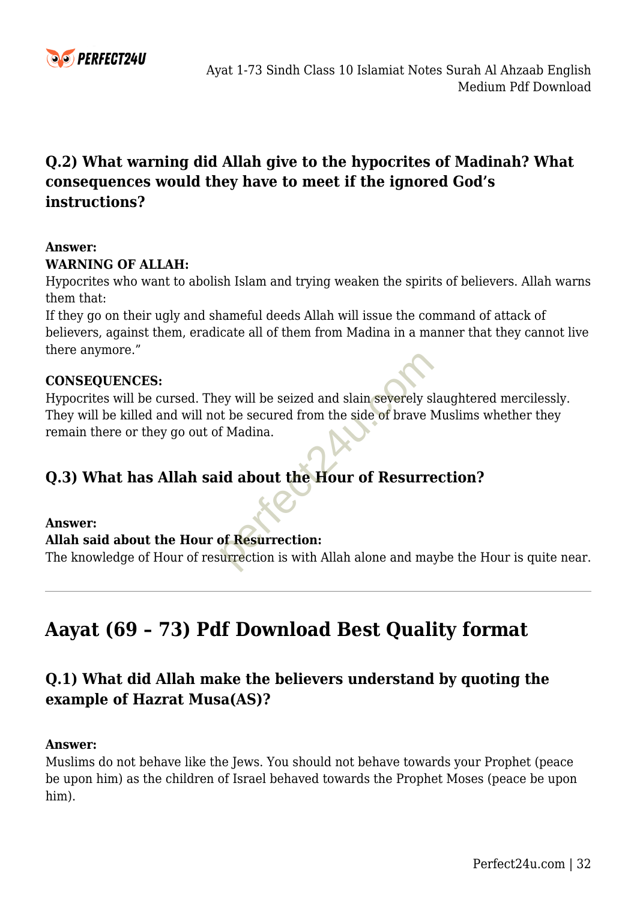

# **Q.2) What warning did Allah give to the hypocrites of Madinah? What consequences would they have to meet if the ignored God's instructions?**

#### **Answer:**

#### **WARNING OF ALLAH:**

Hypocrites who want to abolish Islam and trying weaken the spirits of believers. Allah warns them that:

If they go on their ugly and shameful deeds Allah will issue the command of attack of believers, against them, eradicate all of them from Madina in a manner that they cannot live there anymore."

#### **CONSEQUENCES:**

Hypocrites will be cursed. They will be seized and slain severely slaughtered mercilessly. They will be killed and will not be secured from the side of brave Muslims whether they remain there or they go out of Madina. ey will be seized and slain severely sit be secured from the side of brave left Madina.<br> **id about the Hour of Resurre**<br> **of Resurrection:**<br>
urrection is with Allah alone and ma

#### **Q.3) What has Allah said about the Hour of Resurrection?**

#### **Answer:**

#### **Allah said about the Hour of Resurrection:**

The knowledge of Hour of resurrection is with Allah alone and maybe the Hour is quite near.

# **Aayat (69 – 73) Pdf Download Best Quality format**

# **Q.1) What did Allah make the believers understand by quoting the example of Hazrat Musa(AS)?**

#### **Answer:**

Muslims do not behave like the Jews. You should not behave towards your Prophet (peace be upon him) as the children of Israel behaved towards the Prophet Moses (peace be upon him).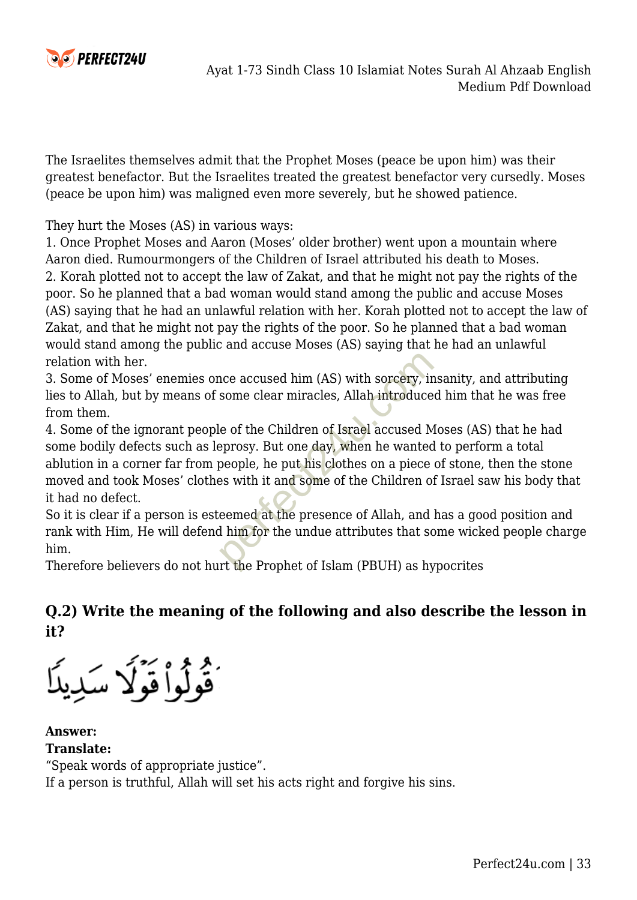

The Israelites themselves admit that the Prophet Moses (peace be upon him) was their greatest benefactor. But the Israelites treated the greatest benefactor very cursedly. Moses (peace be upon him) was maligned even more severely, but he showed patience.

They hurt the Moses (AS) in various ways:

1. Once Prophet Moses and Aaron (Moses' older brother) went upon a mountain where Aaron died. Rumourmongers of the Children of Israel attributed his death to Moses. 2. Korah plotted not to accept the law of Zakat, and that he might not pay the rights of the poor. So he planned that a bad woman would stand among the public and accuse Moses (AS) saying that he had an unlawful relation with her. Korah plotted not to accept the law of Zakat, and that he might not pay the rights of the poor. So he planned that a bad woman would stand among the public and accuse Moses (AS) saying that he had an unlawful relation with her.

3. Some of Moses' enemies once accused him (AS) with sorcery, insanity, and attributing lies to Allah, but by means of some clear miracles, Allah introduced him that he was free from them.

4. Some of the ignorant people of the Children of Israel accused Moses (AS) that he had some bodily defects such as leprosy. But one day, when he wanted to perform a total ablution in a corner far from people, he put his clothes on a piece of stone, then the stone moved and took Moses' clothes with it and some of the Children of Israel saw his body that it had no defect. nce accused him (AS) with sorcery, in<br>some clear miracles, Allah introduce<br>le of the Children of Israel accused M<br>performation and the wanted<br>people, he put his clothes on a piece<br>es with it and some of the Children of<br>eem

So it is clear if a person is esteemed at the presence of Allah, and has a good position and rank with Him, He will defend him for the undue attributes that some wicked people charge him.

Therefore believers do not hurt the Prophet of Islam (PBUH) as hypocrites

# **Q.2) Write the meaning of the following and also describe the lesson in it?**

ُقُولُواْ قَوۡلَا سَٰدِينَا

**Answer: Translate:** "Speak words of appropriate justice". If a person is truthful, Allah will set his acts right and forgive his sins.